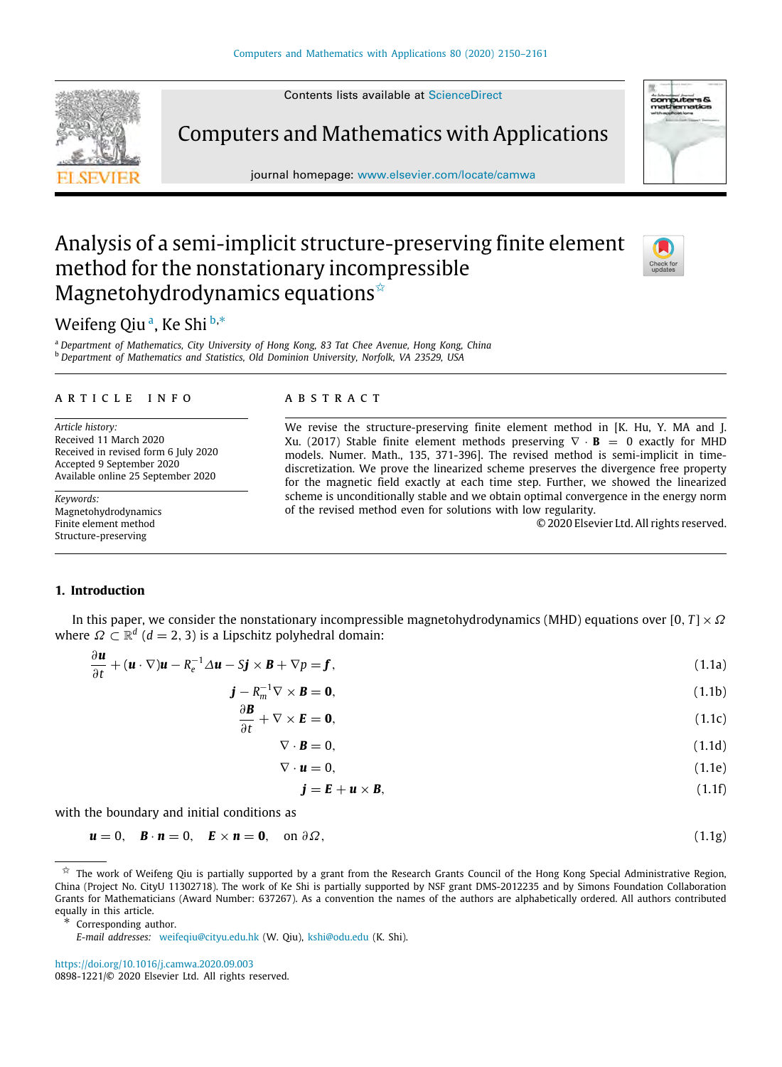Contents lists available at [ScienceDirect](http://www.elsevier.com/locate/camwa)



Computers and Mathematics with Applications

journal homepage: [www.elsevier.com/locate/camwa](http://www.elsevier.com/locate/camwa)

# Analysis of a semi-implicit structure-preserving finite element method for the nonstationary incompressible Magnetohydrodynamics equations $\hat{A}$



# Weifeng Qiu[a](#page-0-1), Ke Shi [b](#page-0-2),\*

<span id="page-0-2"></span><span id="page-0-1"></span><sup>a</sup> *Department of Mathematics, City University of Hong Kong, 83 Tat Chee Avenue, Hong Kong, China* <sup>b</sup> *Department of Mathematics and Statistics, Old Dominion University, Norfolk, VA 23529, USA*

#### a r t i c l e i n f o

*Article history:* Received 11 March 2020 Received in revised form 6 July 2020 Accepted 9 September 2020 Available online 25 September 2020

*Keywords:* Magnetohydrodynamics Finite element method Structure-preserving

### A B S T R A C T

We revise the structure-preserving finite element method in [K. Hu, Y. MA and J. Xu. (2017) Stable finite element methods preserving ∇ · **B** = 0 exactly for MHD models. Numer. Math., 135, 371-396]. The revised method is semi-implicit in timediscretization. We prove the linearized scheme preserves the divergence free property for the magnetic field exactly at each time step. Further, we showed the linearized scheme is unconditionally stable and we obtain optimal convergence in the energy norm of the revised method even for solutions with low regularity.

© 2020 Elsevier Ltd. All rights reserved.

### **1. Introduction**

∂*u*

In this paper, we consider the nonstationary incompressible magnetohydrodynamics (MHD) equations over  $[0, T] \times \Omega$ where  $\varOmega \subset \mathbb{R}^d$  ( $d=2,3$ ) is a Lipschitz polyhedral domain:

$$
\frac{\partial \boldsymbol{u}}{\partial t} + (\boldsymbol{u} \cdot \nabla) \boldsymbol{u} - R_e^{-1} \Delta \boldsymbol{u} - S \boldsymbol{j} \times \boldsymbol{B} + \nabla p = \boldsymbol{f},\tag{1.1a}
$$

$$
\mathbf{j} - R_m^{-1} \nabla \times \mathbf{B} = \mathbf{0},\tag{1.1b}
$$

$$
\frac{\partial \mathbf{B}}{\partial t} + \nabla \times \mathbf{E} = \mathbf{0},\tag{1.1c}
$$

<span id="page-0-4"></span>
$$
\nabla \cdot \mathbf{B} = 0,\tag{1.1d}
$$

$$
\nabla \cdot \mathbf{u} = 0, \tag{1.1e}
$$

$$
\mathbf{j} = \mathbf{E} + \mathbf{u} \times \mathbf{B},\tag{1.1f}
$$

with the boundary and initial conditions as

## $u = 0$ ,  $B \cdot n = 0$ ,  $E \times n = 0$ , on  $\partial \Omega$ , (1.1g)

<span id="page-0-3"></span>Corresponding author.

<https://doi.org/10.1016/j.camwa.2020.09.003>

<span id="page-0-0"></span> $\hat{x}$  The work of Weifeng Qiu is partially supported by a grant from the Research Grants Council of the Hong Kong Special Administrative Region, China (Project No. CityU 11302718). The work of Ke Shi is partially supported by NSF grant DMS-2012235 and by Simons Foundation Collaboration Grants for Mathematicians (Award Number: 637267). As a convention the names of the authors are alphabetically ordered. All authors contributed equally in this article.

*E-mail addresses:* [weifeqiu@cityu.edu.hk](mailto:weifeqiu@cityu.edu.hk) (W. Qiu), [kshi@odu.edu](mailto:kshi@odu.edu) (K. Shi).

<sup>0898-1221/</sup>© 2020 Elsevier Ltd. All rights reserved.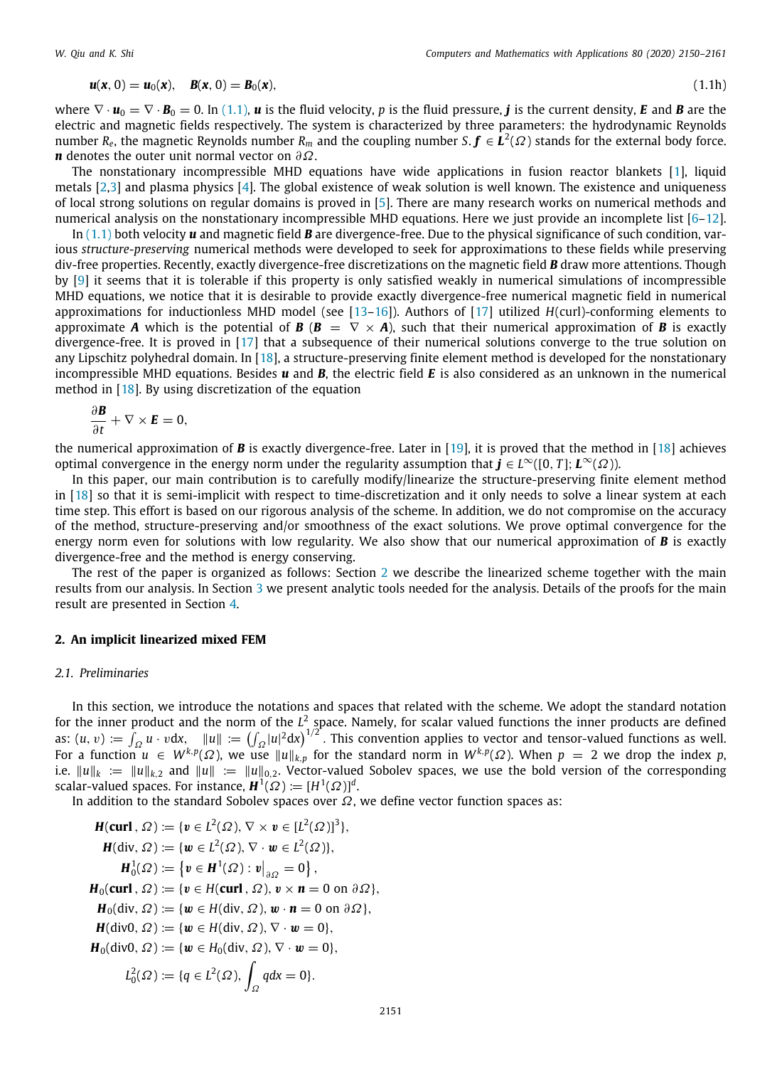$$
u(x, 0) = u_0(x), \quad B(x, 0) = B_0(x), \tag{1.1h}
$$

$$
(1.1h)
$$

where  $\nabla \cdot \mathbf{u}_0 = \nabla \cdot \mathbf{B}_0 = 0$ . In ([1.1](#page-0-4)), **u** is the fluid velocity, p is the fluid pressure, **j** is the current density, **E** and **B** are the electric and magnetic fields respectively. The system is characterized by three parameters: the hydrodynamic Reynolds number  $R_e$ , the magnetic Reynolds number  $R_m$  and the coupling number  $S.$   $\bm f\in L^2(\varOmega)$  stands for the external body force. *n* denotes the outer unit normal vector on ∂Ω.

The nonstationary incompressible MHD equations have wide applications in fusion reactor blankets [\[1\]](#page-11-0), liquid metals  $[2,3]$  $[2,3]$  $[2,3]$  $[2,3]$  and plasma physics  $[4]$  $[4]$  $[4]$ . The global existence of weak solution is well known. The existence and uniqueness of local strong solutions on regular domains is proved in [[5\]](#page-11-4). There are many research works on numerical methods and numerical analysis on the nonstationary incompressible MHD equations. Here we just provide an incomplete list  $[6-12]$  $[6-12]$ .

In [\(1.1\)](#page-0-4) both velocity *u* and magnetic field *B* are divergence-free. Due to the physical significance of such condition, various *structure-preserving* numerical methods were developed to seek for approximations to these fields while preserving div-free properties. Recently, exactly divergence-free discretizations on the magnetic field *B* draw more attentions. Though by [\[9\]](#page-11-7) it seems that it is tolerable if this property is only satisfied weakly in numerical simulations of incompressible MHD equations, we notice that it is desirable to provide exactly divergence-free numerical magnetic field in numerical approximations for inductionless MHD model (see [\[13–](#page-11-8)[16](#page-11-9)]). Authors of [[17](#page-11-10)] utilized *H*(curl)-conforming elements to approximate *A* which is the potential of  $B$  ( $B = \nabla \times A$ ), such that their numerical approximation of *B* is exactly divergence-free. It is proved in [\[17\]](#page-11-10) that a subsequence of their numerical solutions converge to the true solution on any Lipschitz polyhedral domain. In [[18](#page-11-11)], a structure-preserving finite element method is developed for the nonstationary incompressible MHD equations. Besides *u* and *B*, the electric field *E* is also considered as an unknown in the numerical method in [\[18\]](#page-11-11). By using discretization of the equation

$$
\frac{\partial \boldsymbol{B}}{\partial t} + \nabla \times \boldsymbol{E} = 0,
$$

the numerical approximation of *B* is exactly divergence-free. Later in [\[19\]](#page-11-12), it is proved that the method in [[18](#page-11-11)] achieves optimal convergence in the energy norm under the regularity assumption that  $\bm{j} \in L^{\infty}([0,T];\bm{L}^{\infty}(\Omega))$ .

In this paper, our main contribution is to carefully modify/linearize the structure-preserving finite element method in [\[18\]](#page-11-11) so that it is semi-implicit with respect to time-discretization and it only needs to solve a linear system at each time step. This effort is based on our rigorous analysis of the scheme. In addition, we do not compromise on the accuracy of the method, structure-preserving and/or smoothness of the exact solutions. We prove optimal convergence for the energy norm even for solutions with low regularity. We also show that our numerical approximation of *B* is exactly divergence-free and the method is energy conserving.

The rest of the paper is organized as follows: Section [2](#page-1-0) we describe the linearized scheme together with the main results from our analysis. In Section [3](#page-4-0) we present analytic tools needed for the analysis. Details of the proofs for the main result are presented in Section [4.](#page-5-0)

### **2. An implicit linearized mixed FEM**

## <span id="page-1-0"></span>*2.1. Preliminaries*

In this section, we introduce the notations and spaces that related with the scheme. We adopt the standard notation for the inner product and the norm of the L<sup>2</sup> space. Namely, for scalar valued functions the inner products are defined as:  $(u, v) := \int_{\Omega} u \cdot v dx$ ,  $||u|| := (\int_{\Omega} |u|^2 dx)^{1/2}$ . This convention applies to vector and tensor-valued functions as well. For a function  $u \in W^{k,p}(\Omega)$ , we use  $||u||_{k,p}$  for the standard norm in  $W^{k,p}(\Omega)$ . When  $p = 2$  we drop the index  $p$ , i.e.  $||u||_k := ||u||_{k,2}$  and  $||u|| := ||u||_{0,2}$ . Vector-valued Sobolev spaces, we use the bold version of the corresponding scalar-valued spaces. For instance,  $\boldsymbol{H}^1(\varOmega):=[H^1(\varOmega)]^d.$ 

In addition to the standard Sobolev spaces over  $\Omega$ , we define vector function spaces as:

$$
H(\text{curl}, \Omega) := \{v \in L^2(\Omega), \nabla \times v \in [L^2(\Omega)]^3\},
$$
  
\n
$$
H(\text{div}, \Omega) := \{w \in L^2(\Omega), \nabla \cdot w \in L^2(\Omega)\},
$$
  
\n
$$
H_0^1(\Omega) := \{v \in H^1(\Omega) : v|_{\partial\Omega} = 0\},
$$
  
\n
$$
H_0(\text{curl}, \Omega) := \{v \in H(\text{curl}, \Omega), v \times n = 0 \text{ on } \partial\Omega\},
$$
  
\n
$$
H_0(\text{div}, \Omega) := \{w \in H(\text{div}, \Omega), w \cdot n = 0 \text{ on } \partial\Omega\},
$$
  
\n
$$
H(\text{div}, \Omega) := \{w \in H(\text{div}, \Omega), \nabla \cdot w = 0\},
$$
  
\n
$$
H_0(\text{div}, \Omega) := \{w \in H_0(\text{div}, \Omega), \nabla \cdot w = 0\},
$$
  
\n
$$
L_0^2(\Omega) := \{q \in L^2(\Omega), \int_{\Omega} qdx = 0\}.
$$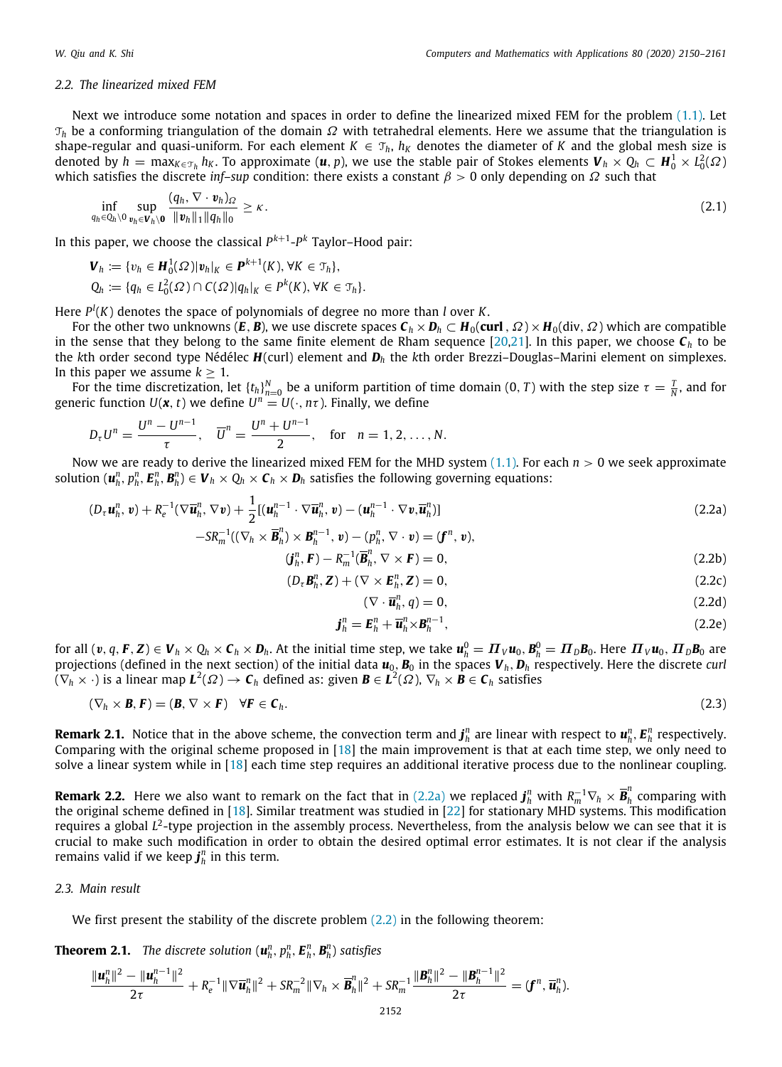### *2.2. The linearized mixed FEM*

Next we introduce some notation and spaces in order to define the linearized mixed FEM for the problem  $(1.1)$  $(1.1)$  $(1.1)$ . Let  $T_h$  be a conforming triangulation of the domain  $\Omega$  with tetrahedral elements. Here we assume that the triangulation is shape-regular and quasi-uniform. For each element  $K \in \mathcal{T}_h$ ,  $h_K$  denotes the diameter of *K* and the global mesh size is denoted by  $h = \max_{K\in\mathcal{T}_h} h_K$ . To approximate  $(\bm{u},p)$ , we use the stable pair of Stokes elements  $\bm{V}_h\times Q_h\subset \bm{H}_0^1\times L_0^2(\Omega)$ which satisfies the discrete *inf–sup* condition: there exists a constant  $\beta > 0$  only depending on  $\Omega$  such that

$$
\inf_{q_h \in Q_h \setminus 0} \sup_{v_h \in \mathbf{V}_h \setminus \mathbf{0}} \frac{(q_h, \nabla \cdot v_h)_{\Omega}}{\|v_h\|_1 \|q_h\|_0} \geq \kappa.
$$
\n(2.1)

In this paper, we choose the classical *P k*+1 -*P <sup>k</sup>* Taylor–Hood pair:

$$
\mathbf{V}_h := \{v_h \in \mathbf{H}_0^1(\Omega) | \mathbf{v}_h|_K \in \mathbf{P}^{k+1}(K), \forall K \in \mathfrak{T}_h\},
$$
  
\n
$$
Q_h := \{q_h \in L_0^2(\Omega) \cap C(\Omega) |q_h|_K \in \mathbf{P}^k(K), \forall K \in \mathfrak{T}_h\}.
$$

Here *P l* (*K*) denotes the space of polynomials of degree no more than *l* over *K*.

For the other two unknowns ( $E, B$ ), we use discrete spaces  $C_h \times D_h \subset H_0(\text{curl}, \Omega) \times H_0(\text{div}, \Omega)$  which are compatible in the sense that they belong to the same finite element de Rham sequence [\[20,](#page-11-13)[21](#page-11-14)]. In this paper, we choose *C<sup>h</sup>* to be the *k*th order second type Nédélec *H*(curl) element and *D<sup>h</sup>* the *k*th order Brezzi–Douglas–Marini element on simplexes. In this paper we assume  $k > 1$ .

For the time discretization, let  $\{t_h\}_{h=0}^N$  be a uniform partition of time domain  $(0,T)$  with the step size  $\tau=\frac{T}{N}$ , and for generic function  $U(\boldsymbol{x},t)$  we define  $U^n = U(\cdot,n\tau)$ . Finally, we define

$$
D_{\tau}U^{n} = \frac{U^{n} - U^{n-1}}{\tau}, \quad \overline{U}^{n} = \frac{U^{n} + U^{n-1}}{2}, \quad \text{for} \quad n = 1, 2, ..., N.
$$

Now we are ready to derive the linearized mixed FEM for the MHD system ([1.1](#page-0-4)). For each *n* > 0 we seek approximate solution  $(\bm{u}_h^n, p_h^n, \bm{E}_h^n, \bm{B}_h^n) \in \bm{V}_h \times Q_h \times \bm{C}_h \times \bm{D}_h$  satisfies the following governing equations:

$$
(D_{\tau}\boldsymbol{u}_h^n, \boldsymbol{v}) + R_e^{-1}(\nabla \overline{\boldsymbol{u}}_h^n, \nabla \boldsymbol{v}) + \frac{1}{2} [(\boldsymbol{u}_h^{n-1} \cdot \nabla \overline{\boldsymbol{u}}_h^n, \boldsymbol{v}) - (\boldsymbol{u}_h^{n-1} \cdot \nabla \boldsymbol{v}, \overline{\boldsymbol{u}}_h^n)]
$$
\n(2.2a)

$$
-SR_m^{-1}((\nabla_h \times \overline{\mathbf{B}}_h^n) \times \mathbf{B}_h^{n-1}, \mathbf{v}) - (p_h^n, \nabla \cdot \mathbf{v}) = (\mathbf{f}^n, \mathbf{v}),
$$
  
\n
$$
(\mathbf{f}^n, \mathbf{F}) \quad \mathbf{p}^{-1}(\overline{\mathbf{B}}_h^n, \nabla \times \mathbf{F}) = 0
$$
\n(2.2b)

$$
(\boldsymbol{j}_h^n, \boldsymbol{F}) - R_m^{-1}(\boldsymbol{\overline{B}}_h^n, \nabla \times \boldsymbol{F}) = 0,
$$
\n(2.2b)

$$
(D_{\tau}\mathbf{B}_{h}^{n},\mathbf{Z}) + (\nabla \times \mathbf{E}_{h}^{n},\mathbf{Z}) = 0, \qquad (2.2c)
$$

<span id="page-2-6"></span><span id="page-2-4"></span><span id="page-2-3"></span><span id="page-2-2"></span><span id="page-2-1"></span><span id="page-2-0"></span>
$$
(\nabla \cdot \overline{\boldsymbol{u}}_h^n, q) = 0,\tag{2.2d}
$$

$$
\mathbf{j}_h^n = \mathbf{E}_h^n + \overline{\mathbf{u}}_h^n \times \mathbf{B}_h^{n-1},\tag{2.2e}
$$

for all  $(v,q,\bm{F},\bm{Z})\in\bm{V}_h\times Q_h\times\bm{C}_h\times\bm{D}_h.$  At the initial time step, we take  $\bm{u}_h^0=\bm{\varPi}_V\bm{u}_0,\bm{B}_h^0=\bm{\varPi}_D\bm{B}_0.$  Here  $\bm{\varPi}_V\bm{u}_0,\bm{\varPi}_D\bm{B}_0$  are projections (defined in the next section) of the initial data  $u_0$ ,  $B_0$  in the spaces  $V_h$ ,  $D_h$  respectively. Here the discrete *curl*  $(\nabla_h \times \cdot)$  is a linear map  $L^2(\varOmega) \to \bm{\mathsf{C}}_h$  defined as: given  $\bm{B} \in L^2(\varOmega)$ ,  $\nabla_h \times \bm{B} \in \bm{\mathsf{C}}_h$  satisfies

$$
(\nabla_h \times \mathbf{B}, \mathbf{F}) = (\mathbf{B}, \nabla \times \mathbf{F}) \quad \forall \mathbf{F} \in \mathbf{C}_h. \tag{2.3}
$$

**Remark 2.1.** Notice that in the above scheme, the convection term and  $\bm{j}_h^n$  are linear with respect to  $\bm{u}_h^n$ ,  $\bm{E}_h^n$  respectively. Comparing with the original scheme proposed in [\[18\]](#page-11-11) the main improvement is that at each time step, we only need to solve a linear system while in [[18](#page-11-11)] each time step requires an additional iterative process due to the nonlinear coupling.

**Remark 2.2.** Here we also want to remark on the fact that in [\(2.2a\)](#page-2-0) we replaced  $\bm{j}_h^n$  with  $R_m^{-1}\nabla_h\times\bm{\bar{B}}_h^n$ *h* comparing with the original scheme defined in [[18](#page-11-11)]. Similar treatment was studied in [\[22\]](#page-11-15) for stationary MHD systems. This modification requires a global L<sup>2</sup>-type projection in the assembly process. Nevertheless, from the analysis below we can see that it is crucial to make such modification in order to obtain the desired optimal error estimates. It is not clear if the analysis remains valid if we keep $\boldsymbol{j}_h^n$  in this term.

## *2.3. Main result*

We first present the stability of the discrete problem ([2.2](#page-2-1)) in the following theorem:

<span id="page-2-5"></span>**Theorem 2.1.** The discrete solution  $(\boldsymbol{u}_h^n, p_h^n, \boldsymbol{E}_h^n, \boldsymbol{B}_h^n)$  satisfies

$$
\frac{\|\mathbf{u}_{h}^{n}\|^2 - \|\mathbf{u}_{h}^{n-1}\|^2}{2\tau} + R_e^{-1} \|\nabla \overline{\mathbf{u}}_h^{n}\|^2 + SR_m^{-2} \|\nabla_h \times \overline{\mathbf{B}}_h^{n}\|^2 + SR_m^{-1} \frac{\|\mathbf{B}_h^{n}\|^2 - \|\mathbf{B}_h^{n-1}\|^2}{2\tau} = (\mathbf{f}^n, \overline{\mathbf{u}}_h^{n}).
$$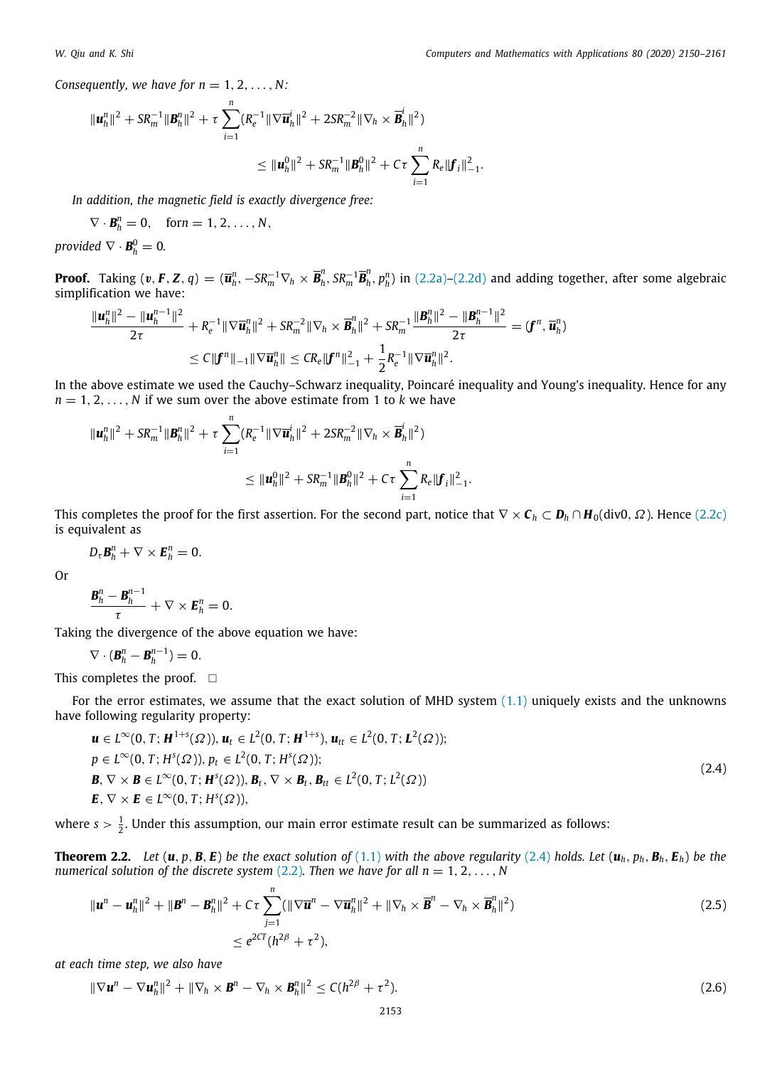*Consequently, we have for*  $n = 1, 2, \ldots, N$ *:* 

$$
\|\boldsymbol{u}_{h}^{n}\|^{2} + SR_{m}^{-1} \|\boldsymbol{B}_{h}^{n}\|^{2} + \tau \sum_{i=1}^{n} (R_{e}^{-1} \|\nabla \overline{\boldsymbol{u}}_{h}^{i}\|^{2} + 2SR_{m}^{-2} \|\nabla_{h} \times \overline{\boldsymbol{B}}_{h}^{i}\|^{2})
$$
  

$$
\leq \|\boldsymbol{u}_{h}^{0}\|^{2} + SR_{m}^{-1} \|\boldsymbol{B}_{h}^{0}\|^{2} + C\tau \sum_{i=1}^{n} R_{e} \|\boldsymbol{f}_{i}\|_{-1}^{2}.
$$

*In addition, the magnetic field is exactly divergence free:*

$$
\nabla \cdot \boldsymbol{B}_h^n = 0, \quad \text{for } n = 1, 2, \ldots, N,
$$

*provided*  $\nabla \cdot \mathbf{B}_h^0 = 0$ .

**Proof.** Taking  $(v, F, Z, q) = (\overline{u}_h^n, -SR_m^{-1} \nabla_h \times \overline{B}_h^n)$  $_{h}^{n}$ , SR $_{m}^{-1}\overline{B}_{h}^{n}$  $h_h^n$ ,  $p_h^n$ ) in [\(2.2a](#page-2-0))–[\(2.2d](#page-2-2)) and adding together, after some algebraic simplification we have:

$$
\frac{\|\mathbf{u}_{h}^{n}\|^2 - \|\mathbf{u}_{h}^{n-1}\|^2}{2\tau} + R_e^{-1} \|\nabla \overline{\mathbf{u}}_h^{n}\|^2 + SR_m^{-2} \|\nabla_h \times \overline{\mathbf{B}}_h^{n}\|^2 + SR_m^{-1} \frac{\|\mathbf{B}_h^{n}\|^2 - \|\mathbf{B}_h^{n-1}\|^2}{2\tau} = (\mathbf{f}^n, \overline{\mathbf{u}}_h^{n})
$$
  

$$
\leq C \|\mathbf{f}^n\|_{-1} \|\nabla \overline{\mathbf{u}}_h^{n}\| \leq CR_e \|\mathbf{f}^n\|^2_{-1} + \frac{1}{2} R_e^{-1} \|\nabla \overline{\mathbf{u}}_h^{n}\|^2.
$$

In the above estimate we used the Cauchy–Schwarz inequality, Poincaré inequality and Young's inequality. Hence for any  $n = 1, 2, \ldots, N$  if we sum over the above estimate from 1 to *k* we have

$$
\begin{aligned} \|\mathbf{u}_h^n\|^2 + SR_m^{-1} \|\mathbf{B}_h^n\|^2 + \tau \sum_{i=1}^n (R_e^{-1} \|\nabla \overline{\mathbf{u}}_h^i\|^2 + 2SR_m^{-2} \|\nabla_h \times \overline{\mathbf{B}}_h^i\|^2) \\ &\leq \|\mathbf{u}_h^0\|^2 + SR_m^{-1} \|\mathbf{B}_h^0\|^2 + C\tau \sum_{i=1}^n R_e \|\mathbf{f}_i\|_{-1}^2. \end{aligned}
$$

This completes the proof for the first assertion. For the second part, notice that  $\nabla \times \mathbf{C}_h \subset \mathbf{D}_h \cap \mathbf{H}_0(\text{div0}, \Omega)$ . Hence [\(2.2c\)](#page-2-3) is equivalent as

$$
D_{\tau}\mathbf{B}_{h}^{n}+\nabla\times\mathbf{E}_{h}^{n}=0.
$$

Or

$$
\frac{\boldsymbol{B}_{h}^{n}-\boldsymbol{B}_{h}^{n-1}}{\tau}+\nabla\times\boldsymbol{E}_{h}^{n}=0.
$$

Taking the divergence of the above equation we have:

$$
\nabla\cdot(\boldsymbol{B}_h^n-\boldsymbol{B}_h^{n-1})=0.
$$

This completes the proof.  $\square$ 

For the error estimates, we assume that the exact solution of MHD system [\(1.1](#page-0-4)) uniquely exists and the unknowns have following regularity property:

<span id="page-3-0"></span>
$$
\mathbf{u} \in L^{\infty}(0, T; \mathbf{H}^{1+s}(\Omega)), \mathbf{u}_t \in L^2(0, T; \mathbf{H}^{1+s}), \mathbf{u}_{tt} \in L^2(0, T; \mathbf{L}^2(\Omega)); \np \in L^{\infty}(0, T; H^s(\Omega)), p_t \in L^2(0, T; H^s(\Omega)); \n\mathbf{B}, \nabla \times \mathbf{B} \in L^{\infty}(0, T; \mathbf{H}^s(\Omega)), \mathbf{B}_t, \nabla \times \mathbf{B}_t, \mathbf{B}_{tt} \in L^2(0, T; L^2(\Omega)) \n\mathbf{E}, \nabla \times \mathbf{E} \in L^{\infty}(0, T; H^s(\Omega)),
$$
\n(2.4)

<span id="page-3-1"></span>where  $s > \frac{1}{2}$ . Under this assumption, our main error estimate result can be summarized as follows:

**Theorem 2.2.** Let  $(\mathbf{u}, p, \mathbf{B}, E)$  be the exact solution of ([1.1](#page-0-4)) with the above regularity ([2.4](#page-3-0)) holds. Let  $(\mathbf{u}_h, p_h, \mathbf{B}_h, E_h)$  be the *numerical solution of the discrete system* [\(2.2\)](#page-2-1). Then we have for all  $n = 1, 2, \ldots, N$ 

<span id="page-3-2"></span>
$$
\|\boldsymbol{u}^{n} - \boldsymbol{u}_{h}^{n}\|^{2} + \|\boldsymbol{B}^{n} - \boldsymbol{B}_{h}^{n}\|^{2} + C\tau \sum_{j=1}^{n} (\|\nabla \overline{\boldsymbol{u}}^{n} - \nabla \overline{\boldsymbol{u}}_{h}^{n}\|^{2} + \|\nabla_{h} \times \overline{\boldsymbol{B}}^{n} - \nabla_{h} \times \overline{\boldsymbol{B}}_{h}^{n}\|^{2})
$$
\n
$$
\leq e^{2CT} (h^{2\beta} + \tau^{2}),
$$
\n(2.5)

*at each time step, we also have*

<span id="page-3-3"></span>
$$
\|\nabla \boldsymbol{u}^{n} - \nabla \boldsymbol{u}_{h}^{n}\|^{2} + \|\nabla_{h} \times \boldsymbol{B}^{n} - \nabla_{h} \times \boldsymbol{B}_{h}^{n}\|^{2} \leq C(h^{2\beta} + \tau^{2}).
$$
\n(2.6)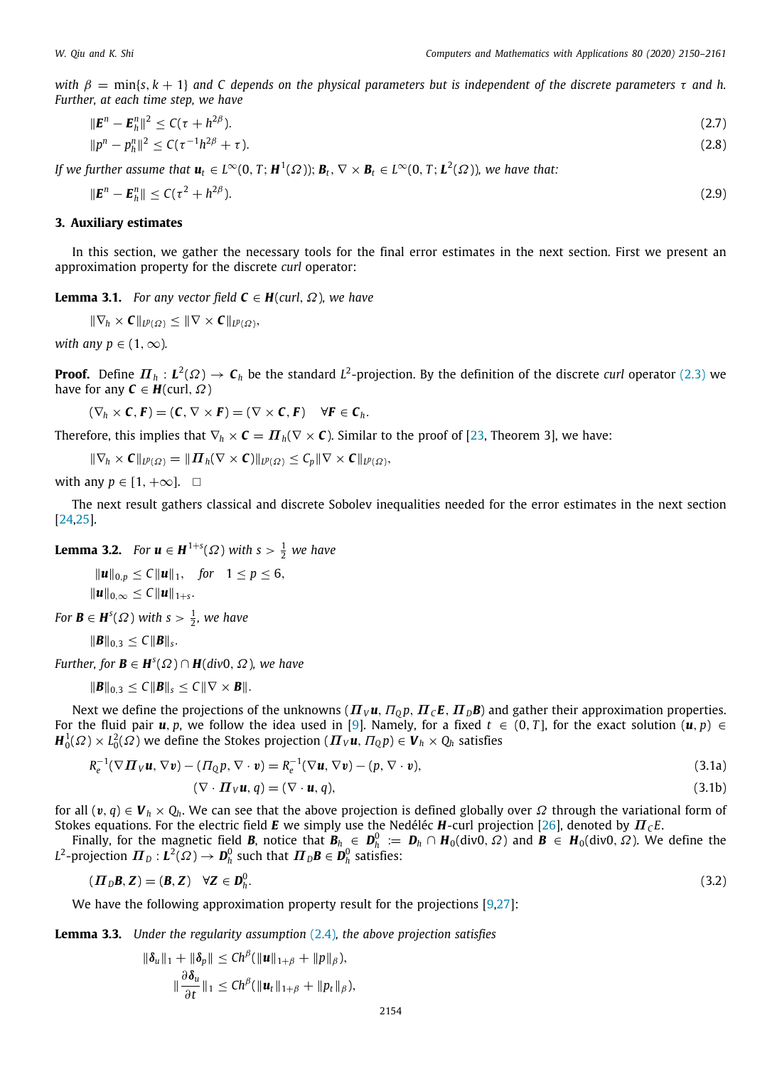*with*  $\beta = \min\{s, k + 1\}$  *and* C depends on the physical parameters but is independent of the discrete parameters  $\tau$  and h. *Further, at each time step, we have*

<span id="page-4-5"></span>
$$
\|\mathbf{E}^n - \mathbf{E}_h^n\|^2 \le C(\tau + h^{2\beta}).\tag{2.7}
$$
  
\n
$$
\|p^n - p_h^n\|^2 \le C(\tau^{-1}h^{2\beta} + \tau).
$$

*If we further assume that*  $u_t \in L^{\infty}(0,T;H^1(\Omega));$   $B_t, \nabla \times B_t \in L^{\infty}(0,T;L^2(\Omega))$ *, we have that:* 

<span id="page-4-7"></span><span id="page-4-6"></span>
$$
\|\boldsymbol{E}^n - \boldsymbol{E}_h^n\| \le C(\tau^2 + h^{2\beta}).\tag{2.9}
$$

## **3. Auxiliary estimates**

<span id="page-4-0"></span>In this section, we gather the necessary tools for the final error estimates in the next section. First we present an approximation property for the discrete *curl* operator:

**Lemma 3.1.** *For any vector field*  $C \in H$ (*curl*,  $\Omega$ ), we have

$$
\|\nabla_h \times \mathbf{C}\|_{L^p(\Omega)} \le \|\nabla \times \mathbf{C}\|_{L^p(\Omega)},
$$

*with any p*  $\in$  (1,  $\infty$ ).

**Proof.** Define  $\bm{\varPi}_h:\bm{L}^2(\varOmega)\to\bm{\mathsf{C}}_h$  be the standard  $L^2$ -projection. By the definition of the discrete *curl* operator ([2.3](#page-2-4)) we have for any  $C \in H$ (curl,  $\Omega$ )

 $(\nabla_h \times \mathbf{C}, \mathbf{F}) = (\mathbf{C}, \nabla \times \mathbf{F}) = (\nabla \times \mathbf{C}, \mathbf{F}) \quad \forall \mathbf{F} \in \mathbf{C}_h.$ 

Therefore, this implies that  $\nabla_h \times \mathbf{C} = \mathbf{\Pi}_h(\nabla \times \mathbf{C})$ . Similar to the proof of [[23](#page-11-16), Theorem 3], we have:

$$
\|\nabla_h \times \mathbf{C}\|_{L^p(\Omega)} = \|\mathbf{\Pi}_h(\nabla \times \mathbf{C})\|_{L^p(\Omega)} \leq C_p \|\nabla \times \mathbf{C}\|_{L^p(\Omega)},
$$

with any  $p \in [1, +\infty]$ .  $\square$ 

The next result gathers classical and discrete Sobolev inequalities needed for the error estimates in the next section [\[24,](#page-11-17)[25](#page-11-18)].

<span id="page-4-4"></span>**Lemma 3.2.** *For*  $\mathbf{u} \in \mathbf{H}^{1+s}(\Omega)$  *with*  $s > \frac{1}{2}$  *we have* 

∥*u*∥0,*<sup>p</sup>* ≤ *C*∥*u*∥1, *for* 1 ≤ *p* ≤ 6,  $||u||_{0,\infty}$  ≤  $C||u||_{1+s}$ .

*For*  $\mathbf{B} \in \mathbf{H}^{s}(\Omega)$  with  $s > \frac{1}{2}$ , we have

$$
\|\bm{B}\|_{0,3}\leq C\|\bm{B}\|_s.
$$

*Further, for*  $\mathbf{B} \in \mathbf{H}^{s}(\Omega) \cap \mathbf{H}(div0, \Omega)$ *, we have* 

$$
\|\boldsymbol{B}\|_{0,3}\leq C\|\boldsymbol{B}\|_{s}\leq C\|\nabla\times\boldsymbol{B}\|.
$$

Next we define the projections of the unknowns  $(\Pi_V \mathbf{u}, \Pi_0 p, \Pi_C \mathbf{E}, \Pi_D \mathbf{B})$  and gather their approximation properties. For the fluid pair  $u, p$ , we follow the idea used in [\[9](#page-11-7)]. Namely, for a fixed  $t \in (0, T]$ , for the exact solution  $(u, p) \in$  $H_0^1(\varOmega)\times L_0^2(\varOmega)$  we define the Stokes projection  $(\bm{\varPi}_{V}\bm{u},\varPi_{Q}p)\in\bm{V}_h\times Q_h$  satisfies

$$
R_e^{-1}(\nabla \mathbf{\Pi}_V \mathbf{u}, \nabla \mathbf{v}) - (\Pi_Q p, \nabla \cdot \mathbf{v}) = R_e^{-1}(\nabla \mathbf{u}, \nabla \mathbf{v}) - (p, \nabla \cdot \mathbf{v}),
$$
\n(3.1a)

<span id="page-4-3"></span><span id="page-4-2"></span><span id="page-4-1"></span>
$$
(\nabla \cdot \mathbf{\Pi}_V \mathbf{u}, q) = (\nabla \cdot \mathbf{u}, q), \tag{3.1b}
$$

for all  $(v, q) \in V_h \times Q_h$ . We can see that the above projection is defined globally over  $\Omega$  through the variational form of Stokes equations. For the electric field *E* we simply use the Nedéléc *H*-curl projection [[26](#page-11-19)], denoted by  $\mathbf{\Pi}_c E$ .

Finally, for the magnetic field *B*, notice that  $B_h \in D_h^0 := D_h \cap H_0(\text{div}0, \Omega)$  and  $B \in H_0(\text{div}0, \Omega)$ . We define the  $L^2$ -projection  $\bm{\varPi}_D: \bm{L}^2(\varOmega) \rightarrow \bm{D}_h^0$  such that  $\bm{\varPi}_D\bm{B} \in \bm{D}_h^0$  satisfies:

$$
(\boldsymbol{\Pi}_{\mathrm{D}}\mathbf{B},\mathbf{Z})=(\mathbf{B},\mathbf{Z})\quad\forall\mathbf{Z}\in\mathbf{D}_{h}^{0}.\tag{3.2}
$$

We have the following approximation property result for the projections [\[9,](#page-11-7)[27](#page-11-20)]:

**Lemma 3.3.** *Under the regularity assumption* [\(2.4\)](#page-3-0)*, the above projection satisfies*

$$
\|\delta_u\|_1 + \|\delta_p\| \leq Ch^{\beta}(\|\mathbf{u}\|_{1+\beta} + \|p\|_{\beta}),
$$
  

$$
\|\frac{\partial \delta_u}{\partial t}\|_1 \leq Ch^{\beta}(\|\mathbf{u}_t\|_{1+\beta} + \|p_t\|_{\beta}),
$$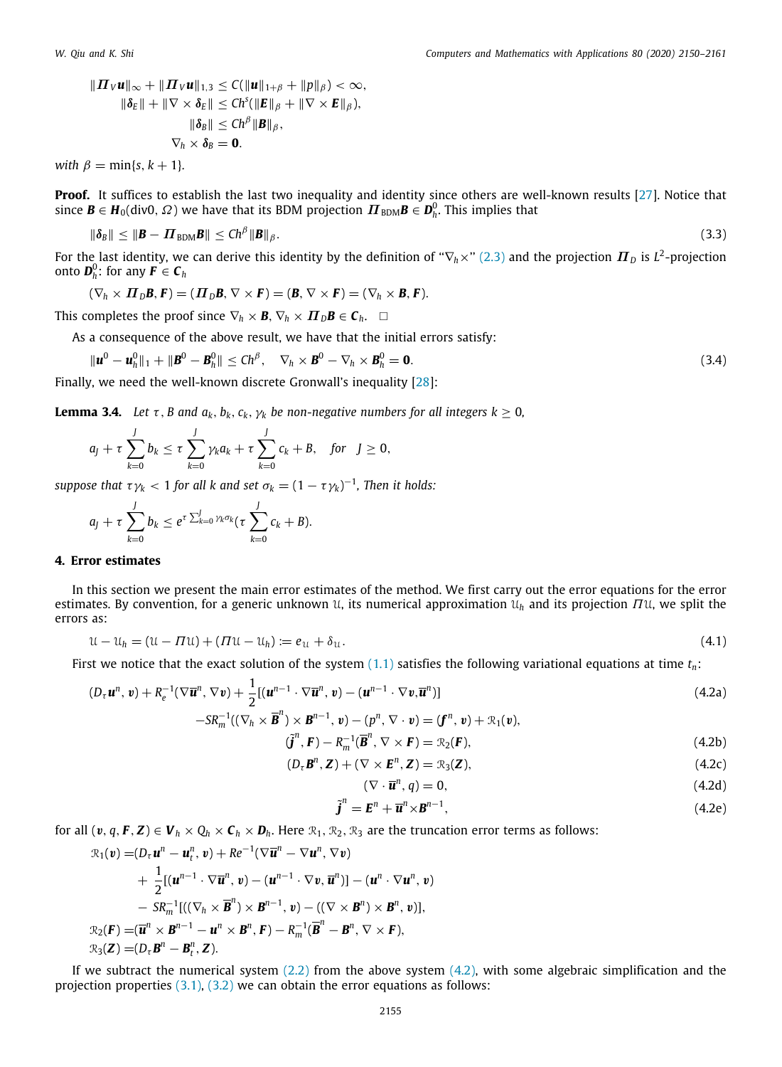$$
\| \mathbf{\Pi}_V \mathbf{u} \|_{\infty} + \| \mathbf{\Pi}_V \mathbf{u} \|_{1,3} \leq C (\| \mathbf{u} \|_{1+\beta} + \| p \|_{\beta}) < \infty,
$$
  

$$
\| \delta_E \| + \| \nabla \times \delta_E \| \leq C h^s (\| E \|_{\beta} + \| \nabla \times E \|_{\beta}),
$$
  

$$
\| \delta_B \| \leq C h^{\beta} \| B \|_{\beta},
$$
  

$$
\nabla_h \times \delta_B = \mathbf{0}.
$$

*with*  $\beta = \min\{s, k+1\}$ .

**Proof.** It suffices to establish the last two inequality and identity since others are well-known results [\[27\]](#page-11-20). Notice that since  $\bm{B}\in H_0(\text{div}0,\,\varOmega)$  we have that its BDM projection  $\bm{\varPi}_{\text{BDM}}\bm{B}\in\bm{D}_h^0.$  This implies that

$$
\|\boldsymbol{\delta}_{\boldsymbol{B}}\| \le \|\boldsymbol{B} - \boldsymbol{\varPi}_{\text{BDM}}\boldsymbol{B}\| \le C h^{\beta} \|\boldsymbol{B}\|_{\beta}.
$$
\n(3.3)

For the last identity, we can derive this identity by the definition of " $\nabla_h \times$ " [\(2.3\)](#page-2-4) and the projection  $\bm{\varPi}_D$  is  $L^2$ -projection onto  $\boldsymbol{D}_h^0$ : for any  $\boldsymbol{F} \in \boldsymbol{\mathcal{C}}_h$ 

$$
(\nabla_h \times \mathbf{\Pi}_D \mathbf{B}, \mathbf{F}) = (\mathbf{\Pi}_D \mathbf{B}, \nabla \times \mathbf{F}) = (\mathbf{B}, \nabla \times \mathbf{F}) = (\nabla_h \times \mathbf{B}, \mathbf{F}).
$$

This completes the proof since  $\nabla_h \times \mathbf{B}$ ,  $\nabla_h \times \mathbf{\Pi}_D \mathbf{B} \in \mathbf{C}_h$ .  $\square$ 

As a consequence of the above result, we have that the initial errors satisfy:

$$
\|\boldsymbol{u}^{0} - \boldsymbol{u}_{h}^{0}\|_{1} + \|\boldsymbol{B}^{0} - \boldsymbol{B}_{h}^{0}\| \leq Ch^{\beta}, \quad \nabla_{h} \times \boldsymbol{B}^{0} - \nabla_{h} \times \boldsymbol{B}_{h}^{0} = \mathbf{0}.
$$
\n(3.4)

<span id="page-5-2"></span>Finally, we need the well-known discrete Gronwall's inequality [[28](#page-11-21)]:

**Lemma 3.4.** *Let*  $\tau$ , *B* and  $a_k$ ,  $b_k$ ,  $c_k$ ,  $\gamma_k$  be non-negative numbers for all integers  $k > 0$ ,

$$
a_j+\tau\sum_{k=0}^Jb_k\leq \tau\sum_{k=0}^J\gamma_k a_k+\tau\sum_{k=0}^Jc_k+B,\quad\text{for}\quad J\geq 0,
$$

 $suppose$  that  $\tau\gamma_k < 1$  for all  $k$  and set  $\sigma_k = (1-\tau\gamma_k)^{-1}$ , Then it holds:

$$
a_j + \tau \sum_{k=0}^J b_k \leq e^{\tau \sum_{k=0}^J \gamma_k \sigma_k} (\tau \sum_{k=0}^J c_k + B).
$$

#### **4. Error estimates**

<span id="page-5-0"></span>In this section we present the main error estimates of the method. We first carry out the error equations for the error estimates. By convention, for a generic unknown  $\mathfrak{u}$ , its numerical approximation  $\mathfrak{u}_h$  and its projection  $\Pi\mathfrak{u}$ , we split the errors as:

$$
\mathfrak{U} - \mathfrak{U}_h = (\mathfrak{U} - \Pi \mathfrak{U}) + (\Pi \mathfrak{U} - \mathfrak{U}_h) := e_{\mathfrak{U}} + \delta_{\mathfrak{U}}.
$$
\n
$$
(4.1)
$$

First we notice that the exact solution of the system  $(1.1)$  $(1.1)$  satisfies the following variational equations at time  $t_n$ :

$$
(D_{\tau}\boldsymbol{u}^{n},\boldsymbol{v})+R_{e}^{-1}(\nabla\overline{\boldsymbol{u}}^{n},\nabla\boldsymbol{v})+\frac{1}{2}[(\boldsymbol{u}^{n-1}\cdot\nabla\overline{\boldsymbol{u}}^{n},\boldsymbol{v})-(\boldsymbol{u}^{n-1}\cdot\nabla\boldsymbol{v},\overline{\boldsymbol{u}}^{n})] -SR_{m}^{-1}((\nabla_{h}\times\overline{\boldsymbol{B}}^{n})\times\boldsymbol{B}^{n-1},\boldsymbol{v})-(p^{n},\nabla\cdot\boldsymbol{v})=(\boldsymbol{f}^{n},\boldsymbol{v})+\mathcal{R}_{1}(\boldsymbol{v}),
$$
\n(4.2a)

$$
((\nabla_h \times \overline{\mathbf{B}}^n) \times \mathbf{B}^{n-1}, \mathbf{v}) - (p^n, \nabla \cdot \mathbf{v}) = (\mathbf{f}^n, \mathbf{v}) + \mathcal{R}_1(\mathbf{v}),
$$
  
\n
$$
(\widetilde{\mathbf{J}}^n, \mathbf{F}) - R_m^{-1}(\overline{\mathbf{B}}^n, \nabla \times \mathbf{F}) = \mathcal{R}_2(\mathbf{F}),
$$
\n(4.2b)

$$
F_{\mathbf{m}}^{\mathbf{m}}(\mathbf{F}) - R_{\mathbf{m}}^{-1}(\overline{\mathbf{B}}^{\mathbf{n}}, \nabla \times \mathbf{F}) = \mathcal{R}_2(\mathbf{F}), \tag{4.2b}
$$

$$
(D_{\tau}\mathbf{B}^n,\mathbf{Z}) + (\nabla \times \mathbf{E}^n,\mathbf{Z}) = \mathcal{R}_3(\mathbf{Z}),\tag{4.2c}
$$

<span id="page-5-3"></span><span id="page-5-1"></span>
$$
(\nabla \cdot \overline{\mathbf{u}}^n, q) = 0,\tag{4.2d}
$$

$$
\tilde{\boldsymbol{j}}^n = \boldsymbol{E}^n + \overline{\boldsymbol{u}}^n \times \boldsymbol{B}^{n-1},\tag{4.2e}
$$

for all  $(v, q, F, Z) \in V_h \times Q_h \times C_h \times D_h$ . Here  $\mathcal{R}_1, \mathcal{R}_2, \mathcal{R}_3$  are the truncation error terms as follows:

$$
\mathcal{R}_1(\mathbf{v}) = (D_{\tau} \mathbf{u}^n - \mathbf{u}_t^n, \mathbf{v}) + Re^{-1}(\nabla \overline{\mathbf{u}}^n - \nabla \mathbf{u}^n, \nabla \mathbf{v}) \n+ \frac{1}{2} [(\mathbf{u}^{n-1} \cdot \nabla \overline{\mathbf{u}}^n, \mathbf{v}) - (\mathbf{u}^{n-1} \cdot \nabla \mathbf{v}, \overline{\mathbf{u}}^n)] - (\mathbf{u}^n \cdot \nabla \mathbf{u}^n, \mathbf{v}) \n- SR_m^{-1} [((\nabla_h \times \overline{\mathbf{B}}^n) \times \mathbf{B}^{n-1}, \mathbf{v}) - ((\nabla \times \mathbf{B}^n) \times \mathbf{B}^n, \mathbf{v})], \n\mathcal{R}_2(\mathbf{F}) = (\overline{\mathbf{u}}^n \times \mathbf{B}^{n-1} - \mathbf{u}^n \times \mathbf{B}^n, \mathbf{F}) - R_m^{-1} (\overline{\mathbf{B}}^n - \mathbf{B}^n, \nabla \times \mathbf{F}), \n\mathcal{R}_3(\mathbf{Z}) = (D_{\tau} \mathbf{B}^n - \mathbf{B}_t^n, \mathbf{Z}).
$$

If we subtract the numerical system  $(2.2)$  $(2.2)$  $(2.2)$  from the above system  $(4.2)$ , with some algebraic simplification and the projection properties  $(3.1)$  $(3.1)$  $(3.1)$ ,  $(3.2)$  $(3.2)$  $(3.2)$  we can obtain the error equations as follows: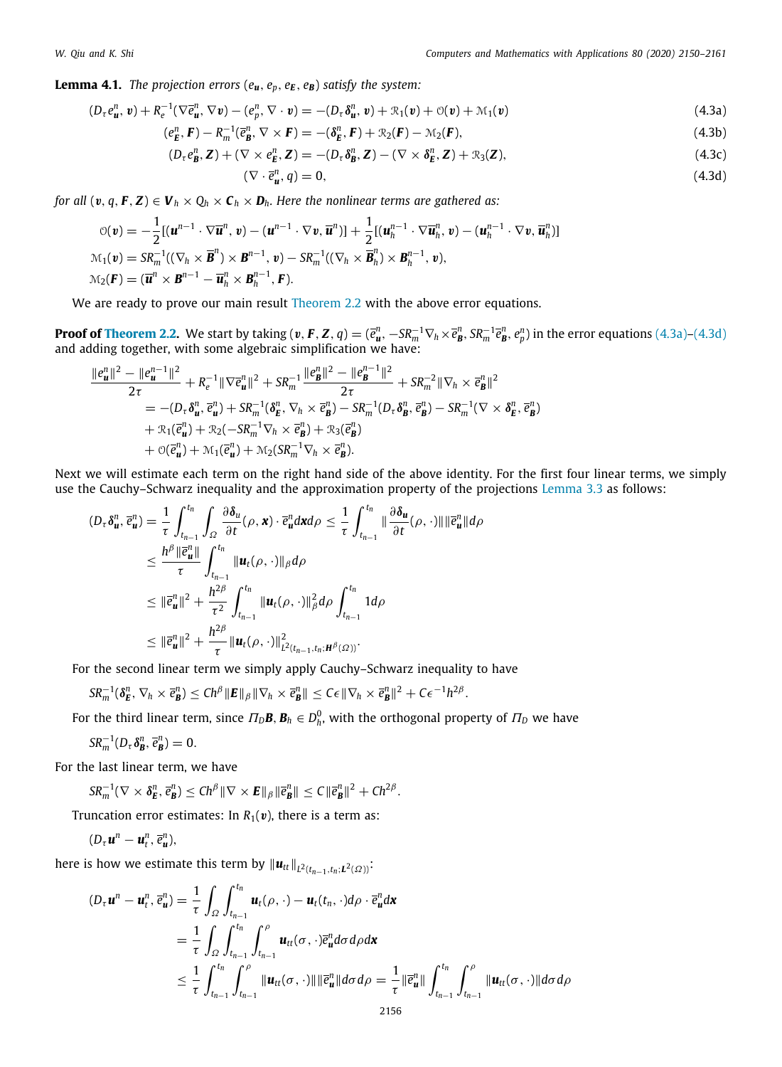**Lemma 4.1.** *The projection errors*  $(e_u, e_p, e_E, e_B)$  *satisfy the system:* 

$$
(D_{\tau}e_{\boldsymbol{u}}^n, \boldsymbol{v}) + R_e^{-1}(\nabla \bar{e}_{\boldsymbol{u}}^n, \nabla \boldsymbol{v}) - (e_{\boldsymbol{p}}^n, \nabla \cdot \boldsymbol{v}) = -(D_{\tau}\delta_{\boldsymbol{u}}^n, \boldsymbol{v}) + \mathcal{R}_1(\boldsymbol{v}) + \mathcal{O}(\boldsymbol{v}) + \mathcal{M}_1(\boldsymbol{v})
$$
\n(4.3a)

$$
(e_E^n, \mathbf{F}) - R_m^{-1}(\bar{e}_B^n, \nabla \times \mathbf{F}) = -(\delta_E^n, \mathbf{F}) + \mathcal{R}_2(\mathbf{F}) - \mathcal{M}_2(\mathbf{F}),
$$
\n(4.3b)

$$
(D_{\tau}e_{\mathbf{B}}^{n},\mathbf{Z}) + (\nabla \times e_{\mathbf{E}}^{n},\mathbf{Z}) = -(D_{\tau}\delta_{\mathbf{B}}^{n},\mathbf{Z}) - (\nabla \times \delta_{\mathbf{E}}^{n},\mathbf{Z}) + \mathcal{R}_{3}(\mathbf{Z}),
$$
\n(4.3c)

<span id="page-6-2"></span><span id="page-6-1"></span><span id="page-6-0"></span>
$$
(\nabla \cdot \vec{e}_{\mathbf{u}}^n, q) = 0,\tag{4.3d}
$$

*for all*  $(v, q, F, Z) \in V_h \times Q_h \times C_h \times D_h$ *. Here the nonlinear terms are gathered as:* 

$$
\mathcal{O}(\mathbf{v}) = -\frac{1}{2} [(\mathbf{u}^{n-1} \cdot \nabla \overline{\mathbf{u}}^n, \mathbf{v}) - (\mathbf{u}^{n-1} \cdot \nabla \mathbf{v}, \overline{\mathbf{u}}^n)] + \frac{1}{2} [(\mathbf{u}_h^{n-1} \cdot \nabla \overline{\mathbf{u}}_h^n, \mathbf{v}) - (\mathbf{u}_h^{n-1} \cdot \nabla \mathbf{v}, \overline{\mathbf{u}}_h^n)]
$$
  

$$
\mathcal{M}_1(\mathbf{v}) = SR_m^{-1}((\nabla_h \times \overline{\mathbf{B}}^n) \times \mathbf{B}^{n-1}, \mathbf{v}) - SR_m^{-1}((\nabla_h \times \overline{\mathbf{B}}_h^n) \times \mathbf{B}_h^{n-1}, \mathbf{v}),
$$
  

$$
\mathcal{M}_2(\mathbf{F}) = (\overline{\mathbf{u}}^n \times \mathbf{B}^{n-1} - \overline{\mathbf{u}}_h^n \times \mathbf{B}_h^{n-1}, \mathbf{F}).
$$

We are ready to prove our main result [Theorem 2.2](#page-3-1) with the above error equations.

**Proof of [Theorem 2.2.](#page-3-1)** We start by taking ( $v, F, Z, q$ )  $=$   $(\overline{e}_{u}^n, -S R_m^{-1} \nabla_h \times \overline{e}_{B}^n, S R_m^{-1} \overline{e}_{B}^n, e_p^n)$  in the error equations ([4.3a](#page-6-0))–[\(4.3d\)](#page-6-1) and adding together, with some algebraic simplification we have:

$$
\frac{\|e_{\mathbf{u}}^{n}\|^{2}-\|e_{\mathbf{u}}^{n-1}\|^{2}}{2\tau}+R_{e}^{-1}\|\nabla\bar{e}_{\mathbf{u}}^{n}\|^{2}+SR_{m}^{-1}\frac{\|e_{\mathbf{B}}^{n}\|^{2}-\|e_{\mathbf{B}}^{n-1}\|^{2}}{2\tau}+SR_{m}^{-2}\|\nabla_{h}\times\bar{e}_{\mathbf{B}}^{n}\|^{2}
$$
\n
$$
=-(D_{\tau}\delta_{\mathbf{u}}^{n},\bar{e}_{\mathbf{u}}^{n})+SR_{m}^{-1}(\delta_{\mathbf{E}}^{n},\nabla_{h}\times\bar{e}_{\mathbf{B}}^{n})-SR_{m}^{-1}(D_{\tau}\delta_{\mathbf{B}}^{n},\bar{e}_{\mathbf{B}}^{n})-SR_{m}^{-1}(\nabla\times\delta_{\mathbf{E}}^{n},\bar{e}_{\mathbf{B}}^{n})
$$
\n
$$
+\mathcal{R}_{1}(\bar{e}_{\mathbf{u}}^{n})+\mathcal{R}_{2}(-SR_{m}^{-1}\nabla_{h}\times\bar{e}_{\mathbf{B}}^{n})+\mathcal{R}_{3}(\bar{e}_{\mathbf{B}}^{n})
$$
\n
$$
+\mathcal{O}(\bar{e}_{\mathbf{u}}^{n})+\mathcal{M}_{1}(\bar{e}_{\mathbf{u}}^{n})+\mathcal{M}_{2}(SR_{m}^{-1}\nabla_{h}\times\bar{e}_{\mathbf{B}}^{n}).
$$

Next we will estimate each term on the right hand side of the above identity. For the first four linear terms, we simply use the Cauchy–Schwarz inequality and the approximation property of the projections [Lemma 3.3](#page-4-3) as follows:

$$
(D_{\tau}\delta_{\boldsymbol{u}}^{n},\bar{e}_{\boldsymbol{u}}^{n}) = \frac{1}{\tau}\int_{t_{n-1}}^{t_n}\int_{\Omega}\frac{\partial \delta_{\boldsymbol{u}}}{\partial t}(\rho,\boldsymbol{x})\cdot\bar{e}_{\boldsymbol{u}}^{n}d\boldsymbol{x}d\rho \leq \frac{1}{\tau}\int_{t_{n-1}}^{t_n}\|\frac{\partial \delta_{\boldsymbol{u}}}{\partial t}(\rho,\cdot)\|\|\bar{e}_{\boldsymbol{u}}^{n}\|d\rho
$$
  
\n
$$
\leq \frac{h^{\beta}\|\bar{e}_{\boldsymbol{u}}^{n}\|}{\tau}\int_{t_{n-1}}^{t_n}\|\boldsymbol{u}_{t}(\rho,\cdot)\|_{\beta}d\rho
$$
  
\n
$$
\leq \|\bar{e}_{\boldsymbol{u}}^{n}\|^{2} + \frac{h^{2\beta}}{\tau^{2}}\int_{t_{n-1}}^{t_n}\|\boldsymbol{u}_{t}(\rho,\cdot)\|_{\beta}^{2}d\rho\int_{t_{n-1}}^{t_n}1d\rho
$$
  
\n
$$
\leq \|\bar{e}_{\boldsymbol{u}}^{n}\|^{2} + \frac{h^{2\beta}}{\tau}\|\boldsymbol{u}_{t}(\rho,\cdot)\|_{L^{2}(t_{n-1},t_n;H^{\beta}(\Omega))}^{2}.
$$

For the second linear term we simply apply Cauchy–Schwarz inequality to have

 $SR_m^{-1}(\delta_E^n, \nabla_h \times \vec{e}_B^n) \leq Ch^{\beta} ||\mathbf{E}||_{\beta} ||\nabla_h \times \vec{e}_B^n|| \leq C\epsilon ||\nabla_h \times \vec{e}_B^n||^2 + C\epsilon^{-1}h^{2\beta}.$ 

For the third linear term, since  $\Pi_D\bm{B},\bm{B}_h\in D^0_h,$  with the orthogonal property of  $\Pi_D$  we have

$$
SR_m^{-1}(D_{\tau}\delta_{\boldsymbol{B}}^n,\,\overline{e}_{\boldsymbol{B}}^n)=0.
$$

For the last linear term, we have

$$
SR_m^{-1}(\nabla \times \delta_{\mathbf{E}}^n, \overline{e}_{\mathbf{B}}^n) \leq Ch^{\beta} \|\nabla \times \mathbf{E}\|_{\beta} \|\overline{e}_{\mathbf{B}}^n\| \leq C \|\overline{e}_{\mathbf{B}}^n\|^2 + Ch^{2\beta}.
$$

Truncation error estimates: In  $R_1(v)$ , there is a term as:

$$
(D_{\tau}\mathbf{u}^{n}-\mathbf{u}_{t}^{n},\,\overline{e}_{\mathbf{u}}^{n}),
$$

here is how we estimate this term by  $\|\boldsymbol{u}_{tt}\|_{L^2(t_{n-1},t_n;\boldsymbol{L}^2(\varOmega))}$ :

$$
(D_{\tau}\mathbf{u}^{n} - \mathbf{u}_{t}^{n}, \overline{e}_{\mathbf{u}}^{n}) = \frac{1}{\tau} \int_{\Omega} \int_{t_{n-1}}^{t_{n}} \mathbf{u}_{t}(\rho, \cdot) - \mathbf{u}_{t}(t_{n}, \cdot) d\rho \cdot \overline{e}_{\mathbf{u}}^{n} d\mathbf{x}
$$
  
\n
$$
= \frac{1}{\tau} \int_{\Omega} \int_{t_{n-1}}^{t_{n}} \int_{t_{n-1}}^{\rho} \mathbf{u}_{tt}(\sigma, \cdot) \overline{e}_{\mathbf{u}}^{n} d\sigma d\rho d\mathbf{x}
$$
  
\n
$$
\leq \frac{1}{\tau} \int_{t_{n-1}}^{t_{n}} \int_{t_{n-1}}^{\rho} \|\mathbf{u}_{tt}(\sigma, \cdot)\| \|\overline{e}_{\mathbf{u}}^{n}\| d\sigma d\rho = \frac{1}{\tau} \|\overline{e}_{\mathbf{u}}^{n}\| \int_{t_{n-1}}^{t_{n}} \int_{t_{n-1}}^{\rho} \|\mathbf{u}_{tt}(\sigma, \cdot)\| d\sigma d\rho
$$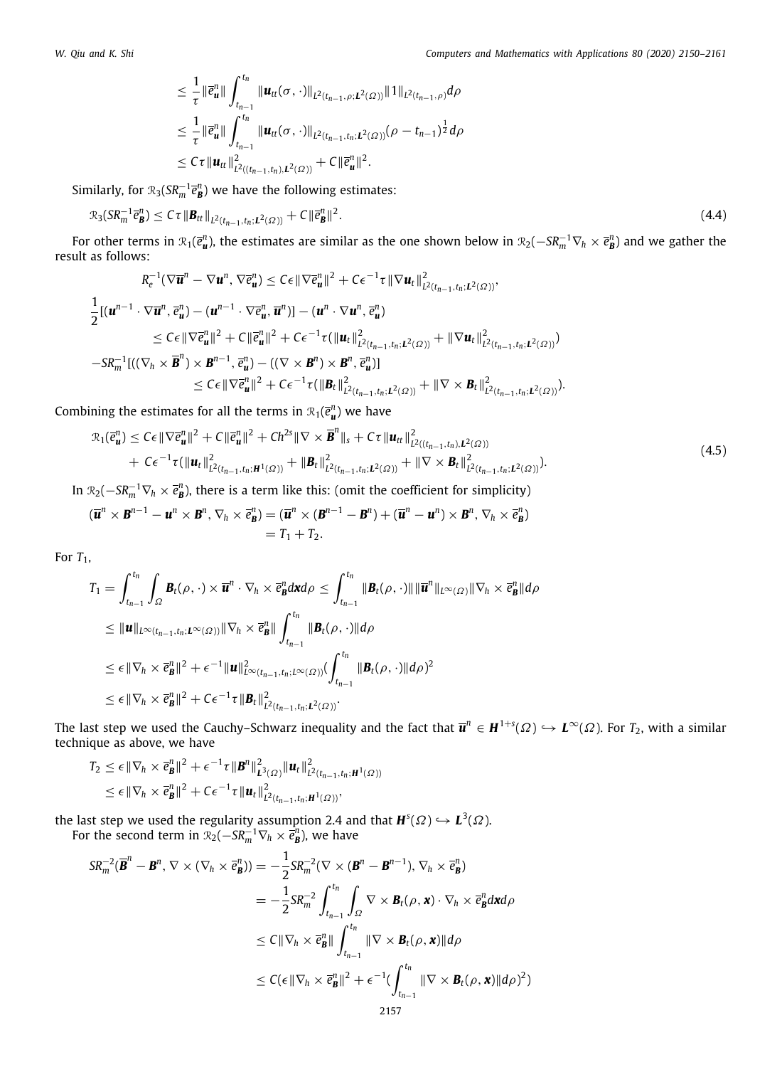$$
\leq \frac{1}{\tau} \|\overline{e}_{\mathbf{u}}^{n} \| \int_{t_{n-1}}^{t_n} \| \mathbf{u}_{tt}(\sigma, \cdot) \|_{L^2(t_{n-1}, \rho; \mathbf{L}^2(\Omega))} \| 1 \|_{L^2(t_{n-1}, \rho)} d\rho
$$
  
\n
$$
\leq \frac{1}{\tau} \|\overline{e}_{\mathbf{u}}^{n} \| \int_{t_{n-1}}^{t_n} \| \mathbf{u}_{tt}(\sigma, \cdot) \|_{L^2(t_{n-1}, t_n; \mathbf{L}^2(\Omega))} (\rho - t_{n-1})^{\frac{1}{2}} d\rho
$$
  
\n
$$
\leq C\tau \| \mathbf{u}_{tt} \|^2_{L^2((t_{n-1}, t_n), \mathbf{L}^2(\Omega))} + C \| \overline{e}_{\mathbf{u}}^{n} \|^2.
$$

Similarly, for  $\mathcal{R}_3(SR_m^{-1}\bar{e}_{\pmb{B}}^n)$  we have the following estimates:

$$
\mathcal{R}_3(SR_m^{-1}\overline{e}_{\boldsymbol{B}}^n) \le C\tau \|\boldsymbol{B}_{tt}\|_{L^2(t_{n-1},t_n;L^2(\Omega))} + C \|\overline{e}_{\boldsymbol{B}}^n\|^2.
$$
\n(4.4)

For other terms in  $\mathcal{R}_1(\bar{e}_{\bf u}^n)$ , the estimates are similar as the one shown below in  $\mathcal{R}_2(-S R_m^{-1} \nabla_h \times \bar{e}_{\bf B}^n)$  and we gather the result as follows:

$$
R_e^{-1}(\nabla \overline{\mathbf{u}}^n - \nabla \mathbf{u}^n, \nabla \overline{e}_{\mathbf{u}}^n) \leq C \epsilon \|\nabla \overline{e}_{\mathbf{u}}^n\|^2 + C \epsilon^{-1} \tau \|\nabla \mathbf{u}_t\|_{L^2(t_{n-1}, t_n; L^2(\Omega))}^2,
$$
  
\n
$$
\frac{1}{2} [(\mathbf{u}^{n-1} \cdot \nabla \overline{\mathbf{u}}^n, \overline{e}_{\mathbf{u}}^n) - (\mathbf{u}^{n-1} \cdot \nabla \overline{e}_{\mathbf{u}}^n, \overline{\mathbf{u}}^n)] - (\mathbf{u}^n \cdot \nabla \mathbf{u}^n, \overline{e}_{\mathbf{u}}^n)
$$
  
\n
$$
\leq C \epsilon \|\nabla \overline{e}_{\mathbf{u}}^n\|^2 + C \|\overline{e}_{\mathbf{u}}^n\|^2 + C \epsilon^{-1} \tau (\|\mathbf{u}_t\|_{L^2(t_{n-1}, t_n; L^2(\Omega))}^2 + \|\nabla \mathbf{u}_t\|_{L^2(t_{n-1}, t_n; L^2(\Omega))}^2)
$$
  
\n
$$
-SR_m^{-1} [((\nabla_h \times \overline{\mathbf{B}}^n) \times \mathbf{B}^{n-1}, \overline{e}_{\mathbf{u}}^n) - ((\nabla \times \mathbf{B}^n) \times \mathbf{B}^n, \overline{e}_{\mathbf{u}}^n)]
$$
  
\n
$$
\leq C \epsilon \|\nabla \overline{e}_{\mathbf{u}}^n\|^2 + C \epsilon^{-1} \tau (\|\mathbf{B}_t\|_{L^2(t_{n-1}, t_n; L^2(\Omega))}^2 + \|\nabla \times \mathbf{B}_t\|_{L^2(t_{n-1}, t_n; L^2(\Omega))}^2).
$$

Combining the estimates for all the terms in  $\mathcal{R}_1(\vec{e}_{\bm{u}}^n)$  we have

$$
\mathcal{R}_1(\vec{e}_{\mathbf{u}}^n) \leq C\epsilon \|\nabla \vec{e}_{\mathbf{u}}^n\|^2 + C\|\vec{e}_{\mathbf{u}}^n\|^2 + Ch^{2s} \|\nabla \times \vec{B}^n\|_s + C\tau \|\mathbf{u}_{tt}\|_{L^2((t_{n-1},t_n),\mathbf{L}^2(\Omega))}^2 + C\epsilon^{-1} \tau (\|\mathbf{u}_t\|_{L^2(t_{n-1},t_n;\mathbf{H}^1(\Omega))}^2 + \|\mathbf{B}_t\|_{L^2(t_{n-1},t_n;\mathbf{L}^2(\Omega))}^2 + \|\nabla \times \mathbf{B}_t\|_{L^2(t_{n-1},t_n;\mathbf{L}^2(\Omega))}^2).
$$
\n(4.5)

In  $R_2(-SR_m^{-1}\nabla_h \times \vec{e}_{\mathbf{B}}^n)$ , there is a term like this: (omit the coefficient for simplicity)

$$
(\overline{\boldsymbol{u}}^n \times \boldsymbol{B}^{n-1} - \boldsymbol{u}^n \times \boldsymbol{B}^n, \nabla_h \times \overline{\boldsymbol{e}}_B^n) = (\overline{\boldsymbol{u}}^n \times (\boldsymbol{B}^{n-1} - \boldsymbol{B}^n) + (\overline{\boldsymbol{u}}^n - \boldsymbol{u}^n) \times \boldsymbol{B}^n, \nabla_h \times \overline{\boldsymbol{e}}_B^n)
$$
  
=  $T_1 + T_2$ .

For  $T_1$ ,

$$
T_1 = \int_{t_{n-1}}^{t_n} \int_{\Omega} \mathbf{B}_t(\rho, \cdot) \times \overline{\mathbf{u}}^n \cdot \nabla_h \times \overline{e}_{\mathbf{B}}^n d\mathbf{x} d\rho \le \int_{t_{n-1}}^{t_n} \|\mathbf{B}_t(\rho, \cdot)\| \|\overline{\mathbf{u}}^n\|_{L^{\infty}(\Omega)} \|\nabla_h \times \overline{e}_{\mathbf{B}}^n\| d\rho
$$
  
\n
$$
\leq \|\mathbf{u}\|_{L^{\infty}(t_{n-1}, t_n; L^{\infty}(\Omega))} \|\nabla_h \times \overline{e}_{\mathbf{B}}^n\| \int_{t_{n-1}}^{t_n} \|\mathbf{B}_t(\rho, \cdot)\| d\rho
$$
  
\n
$$
\leq \epsilon \|\nabla_h \times \overline{e}_{\mathbf{B}}^n\|^2 + \epsilon^{-1} \|\mathbf{u}\|_{L^{\infty}(t_{n-1}, t_n; L^{\infty}(\Omega))}^2 (\int_{t_{n-1}}^{t_n} \|\mathbf{B}_t(\rho, \cdot)\| d\rho)^2
$$
  
\n
$$
\leq \epsilon \|\nabla_h \times \overline{e}_{\mathbf{B}}^n\|^2 + C\epsilon^{-1} \tau \|\mathbf{B}_t\|_{L^2(t_{n-1}, t_n; L^2(\Omega))}^2.
$$

The last step we used the Cauchy–Schwarz inequality and the fact that  $\overline{\bm{u}}^n\in$   $\bm{H}^{1+s}(\varOmega)\hookrightarrow \bm{L}^\infty(\varOmega).$  For  $T_2$ , with a similar technique as above, we have

$$
T_2 \leq \epsilon \|\nabla_h \times \overline{e}_{\mathbf{B}}^n\|^2 + \epsilon^{-1} \tau \|\mathbf{B}^n\|_{\mathbf{L}^3(\Omega)}^2 \|\mathbf{u}_t\|_{\mathcal{L}^2(t_{n-1}, t_n; \mathbf{H}^1(\Omega))}^2
$$
  

$$
\leq \epsilon \|\nabla_h \times \overline{e}_{\mathbf{B}}^n\|^2 + C\epsilon^{-1} \tau \|\mathbf{u}_t\|_{\mathcal{L}^2(t_{n-1}, t_n; \mathbf{H}^1(\Omega))}^2,
$$

the last step we used the regularity assumption 2.4 and that  $\bm{H}^{\text{s}}(\varOmega)\hookrightarrow \bm{L}^{\text{3}}(\varOmega)$ . For the second term in  $\mathbb{R}_2(-S R_m^{-1} \nabla_h \times \vec{e}_B^n)$ , we have

$$
SR_m^{-2}(\overline{\mathbf{B}}^n - \mathbf{B}^n, \nabla \times (\nabla_h \times \overline{e}_{\mathbf{B}}^n)) = -\frac{1}{2}SR_m^{-2}(\nabla \times (\mathbf{B}^n - \mathbf{B}^{n-1}), \nabla_h \times \overline{e}_{\mathbf{B}}^n)
$$
  
\n
$$
= -\frac{1}{2}SR_m^{-2} \int_{t_{n-1}}^{t_n} \int_{\Omega} \nabla \times \mathbf{B}_t(\rho, \mathbf{x}) \cdot \nabla_h \times \overline{e}_{\mathbf{B}}^n d\mathbf{x} d\rho
$$
  
\n
$$
\leq C \|\nabla_h \times \overline{e}_{\mathbf{B}}^n\| \int_{t_{n-1}}^{t_n} \|\nabla \times \mathbf{B}_t(\rho, \mathbf{x})\| d\rho
$$
  
\n
$$
\leq C (\epsilon \|\nabla_h \times \overline{e}_{\mathbf{B}}^n\|^2 + \epsilon^{-1} (\int_{t_{n-1}}^{t_n} \|\nabla \times \mathbf{B}_t(\rho, \mathbf{x})\| d\rho)^2)
$$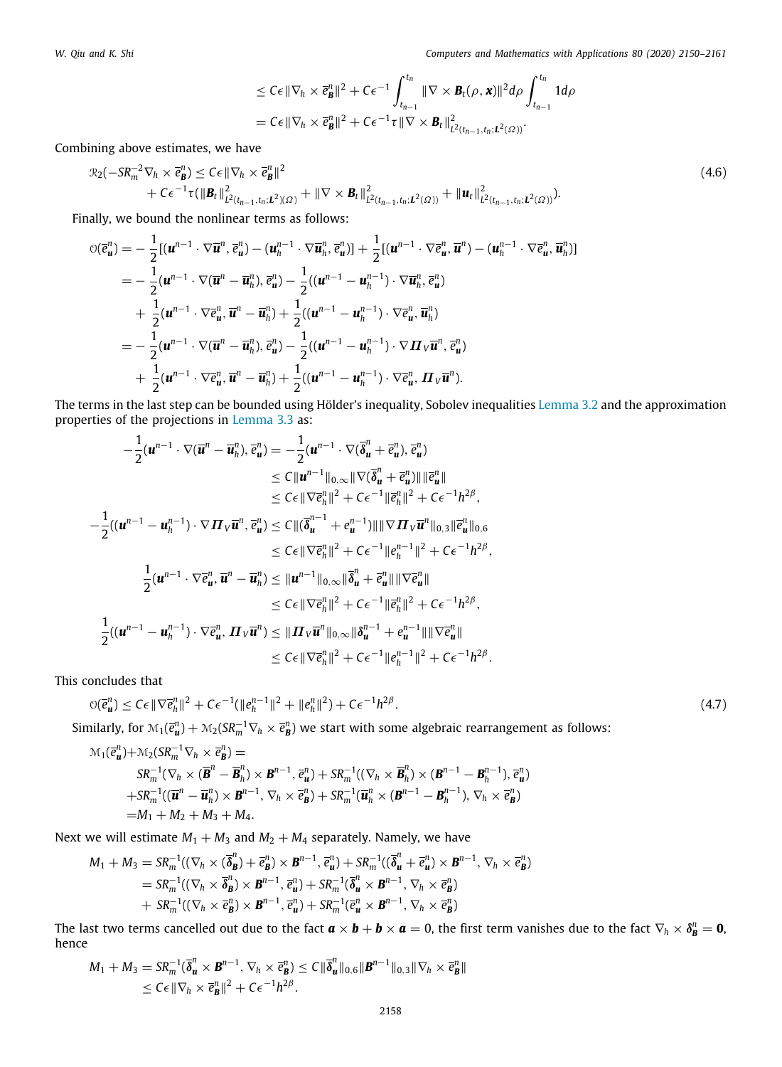*W. Qiu and K. Shi Computers and Mathematics with Applications 80 (2020) 2150–2161*

$$
\leq C\epsilon \|\nabla_h \times \vec{e}_{\mathbf{B}}^n\|^2 + C\epsilon^{-1} \int_{t_{n-1}}^{t_n} \|\nabla \times \mathbf{B}_t(\rho, \mathbf{x})\|^2 d\rho \int_{t_{n-1}}^{t_n} 1 d\rho
$$
  
=  $C\epsilon \|\nabla_h \times \vec{e}_{\mathbf{B}}^n\|^2 + C\epsilon^{-1} \tau \|\nabla \times \mathbf{B}_t\|^2_{L^2(t_{n-1}, t_n; L^2(\Omega))}.$ 

Combining above estimates, we have

$$
\mathcal{R}_2(-SR_m^{-2}\nabla_h\times\bar{e}_{\mathbf{B}}^n)\leq C\epsilon \|\nabla_h\times\bar{e}_{\mathbf{B}}^n\|^2+C\epsilon^{-1}\tau(\|\mathbf{B}_t\|^2_{L^2(t_{n-1},t_n;L^2)(\Omega)}+\|\nabla\times\mathbf{B}_t\|^2_{L^2(t_{n-1},t_n;L^2(\Omega))}+\|\mathbf{u}_t\|^2_{L^2(t_{n-1},t_n;L^2(\Omega))}).
$$

Finally, we bound the nonlinear terms as follows:

$$
\begin{split}\n\mathcal{O}(\vec{e}_{\mathbf{u}}^{n}) &= -\frac{1}{2} [(\mathbf{u}^{n-1} \cdot \nabla \overline{\mathbf{u}}^{n}, \vec{e}_{\mathbf{u}}^{n}) - (\mathbf{u}_{h}^{n-1} \cdot \nabla \overline{\mathbf{u}}_{h}^{n}, \vec{e}_{\mathbf{u}}^{n})] + \frac{1}{2} [(\mathbf{u}^{n-1} \cdot \nabla \vec{e}_{\mathbf{u}}^{n}, \overline{\mathbf{u}}^{n}) - (\mathbf{u}_{h}^{n-1} \cdot \nabla \vec{e}_{\mathbf{u}}^{n}, \overline{\mathbf{u}}_{h}^{n})] \\
&= -\frac{1}{2} (\mathbf{u}^{n-1} \cdot \nabla (\overline{\mathbf{u}}^{n} - \overline{\mathbf{u}}_{h}^{n}), \vec{e}_{\mathbf{u}}^{n}) - \frac{1}{2} ((\mathbf{u}^{n-1} - \mathbf{u}_{h}^{n-1}) \cdot \nabla \overline{\mathbf{u}}_{h}^{n}, \vec{e}_{\mathbf{u}}^{n}) \\
&+ \frac{1}{2} (\mathbf{u}^{n-1} \cdot \nabla \vec{e}_{\mathbf{u}}^{n}, \overline{\mathbf{u}}^{n} - \overline{\mathbf{u}}_{h}^{n}) + \frac{1}{2} ((\mathbf{u}^{n-1} - \mathbf{u}_{h}^{n-1}) \cdot \nabla \vec{e}_{\mathbf{u}}^{n}, \overline{\mathbf{u}}_{h}^{n}) \\
&= -\frac{1}{2} (\mathbf{u}^{n-1} \cdot \nabla (\overline{\mathbf{u}}^{n} - \overline{\mathbf{u}}_{h}^{n}), \vec{e}_{\mathbf{u}}^{n}) - \frac{1}{2} ((\mathbf{u}^{n-1} - \mathbf{u}_{h}^{n-1}) \cdot \nabla \mathbf{H}_{V} \overline{\mathbf{u}}^{n}, \vec{e}_{\mathbf{u}}^{n}) \\
&+ \frac{1}{2} (\mathbf{u}^{n-1} \cdot \nabla \vec{e}_{\mathbf{u}}^{n}, \overline{\mathbf{u}}^{n} - \overline{\mathbf{u}}_{h}^{n}) + \frac{1}{2} ((\mathbf{u}^{n-1} - \mathbf{u}_{h}^{n-
$$

The terms in the last step can be bounded using Hölder's inequality, Sobolev inequalities [Lemma 3.2](#page-4-4) and the approximation properties of the projections in [Lemma 3.3](#page-4-3) as:

$$
-\frac{1}{2}(\mathbf{u}^{n-1}\cdot\nabla(\overline{\mathbf{u}}^n-\overline{\mathbf{u}}_h^n),\overline{e}_{\mathbf{u}}^n) = -\frac{1}{2}(\mathbf{u}^{n-1}\cdot\nabla(\overline{\delta}_{\mathbf{u}}^n+\overline{e}_{\mathbf{u}}^n),\overline{e}_{\mathbf{u}}^n)
$$
  
\n
$$
\leq C\|\mathbf{u}^{n-1}\|_{0,\infty}\|\nabla(\overline{\delta}_{\mathbf{u}}^n+\overline{e}_{\mathbf{u}}^n)\|\|\overline{e}_{\mathbf{u}}^n\|
$$
  
\n
$$
\leq C\epsilon\|\nabla\overline{e}_h^n\|^2 + C\epsilon^{-1}\|\overline{e}_h^n\|^2 + C\epsilon^{-1}h^{2\beta},
$$
  
\n
$$
-\frac{1}{2}((\mathbf{u}^{n-1}-\mathbf{u}_h^{n-1})\cdot\nabla \mathbf{\Pi}_V\overline{\mathbf{u}}^n,\overline{e}_{\mathbf{u}}^n) \leq C\|(\overline{\delta}_{\mathbf{u}}^{n-1}+e_{\mathbf{u}}^{n-1})\|\|\nabla \mathbf{\Pi}_V\overline{\mathbf{u}}^n\|_{0,3}\|\overline{e}_{\mathbf{u}}^n\|_{0,6}
$$
  
\n
$$
\leq C\epsilon\|\nabla\overline{e}_{\mathbf{u}}^n\|^2 + C\epsilon^{-1}\|e_{\mathbf{u}}^{n-1}\|^2 + C\epsilon^{-1}h^{2\beta},
$$
  
\n
$$
\frac{1}{2}(\mathbf{u}^{n-1}\cdot\nabla\overline{e}_{\mathbf{u}}^n,\overline{\mathbf{u}}^n-\overline{\mathbf{u}}_h^n) \leq \|\mathbf{u}^{n-1}\|_{0,\infty}\|\overline{\delta}_{\mathbf{u}}^n+\overline{e}_{\mathbf{u}}^n\|\|\nabla\overline{e}_{\mathbf{u}}^n\|
$$
  
\n
$$
\leq C\epsilon\|\nabla\overline{e}_{\mathbf{u}}^n\|^2 + C\epsilon^{-1}\|\overline{e}_{\mathbf{u}}^n\|^2 + C\epsilon^{-1}h^{2\beta},
$$
  
\n
$$
\frac{1}{2}((\
$$

This concludes that

$$
\mathcal{O}(\overline{e}_{\mathbf{u}}^n) \leq C\epsilon \|\nabla \overline{e}_{h}^n\|^2 + C\epsilon^{-1}(\|e_{h}^{n-1}\|^2 + \|e_{h}^n\|^2) + C\epsilon^{-1}h^{2\beta}.
$$
\n(4.7)

Similarly, for  $\mathcal{M}_1(\bar{e}_{\bm u}^n)+\mathcal{M}_2(SR_m^{-1}\nabla_h\times\bar{e}_{\bm B}^n)$  we start with some algebraic rearrangement as follows:

$$
\mathcal{M}_1(\overline{e}_{\mathbf{u}}^n) + \mathcal{M}_2(SR_m^{-1}\nabla_h \times \overline{e}_{\mathbf{B}}^n) =
$$
\n
$$
SR_n^{-1}(\nabla_h \times (\overline{\mathbf{B}}^n - \overline{\mathbf{B}}_h^n) \times \mathbf{B}^{n-1}, \overline{e}_{\mathbf{u}}^n) + SR_m^{-1}((\nabla_h \times \overline{\mathbf{B}}_h^n) \times (\mathbf{B}^{n-1} - \mathbf{B}_h^{n-1}), \overline{e}_{\mathbf{u}}^n)
$$
\n
$$
+ SR_m^{-1}((\overline{\mathbf{u}}^n - \overline{\mathbf{u}}_h^n) \times \mathbf{B}^{n-1}, \nabla_h \times \overline{e}_{\mathbf{B}}^n) + SR_m^{-1}(\overline{\mathbf{u}}_h^n \times (\mathbf{B}^{n-1} - \mathbf{B}_h^{n-1}), \nabla_h \times \overline{e}_{\mathbf{B}}^n)
$$
\n
$$
= M_1 + M_2 + M_3 + M_4.
$$

Next we will estimate  $M_1 + M_3$  and  $M_2 + M_4$  separately. Namely, we have

$$
M_1 + M_3 = SR_m^{-1}((\nabla_h \times (\overline{\delta}_{\mathbf{B}}^n) + \overline{e}_{\mathbf{B}}^n) \times \mathbf{B}^{n-1}, \overline{e}_{\mathbf{u}}^n) + SR_m^{-1}((\overline{\delta}_{\mathbf{u}}^n + \overline{e}_{\mathbf{u}}^n) \times \mathbf{B}^{n-1}, \nabla_h \times \overline{e}_{\mathbf{B}}^n)
$$
  
=  $SR_m^{-1}((\nabla_h \times \overline{\delta}_{\mathbf{B}}^n) \times \mathbf{B}^{n-1}, \overline{e}_{\mathbf{u}}^n) + SR_m^{-1}(\overline{\delta}_{\mathbf{u}}^n \times \mathbf{B}^{n-1}, \nabla_h \times \overline{e}_{\mathbf{B}}^n)$   
+  $SR_m^{-1}((\nabla_h \times \overline{e}_{\mathbf{B}}^n) \times \mathbf{B}^{n-1}, \overline{e}_{\mathbf{u}}^n) + SR_m^{-1}(\overline{e}_{\mathbf{u}}^n \times \mathbf{B}^{n-1}, \nabla_h \times \overline{e}_{\mathbf{B}}^n)$ 

The last two terms cancelled out due to the fact  $a\times b+b\times a=0,$  the first term vanishes due to the fact  $\nabla_h\times\delta_B^n=0,$ hence

$$
M_1 + M_3 = SR_m^{-1}(\overline{\boldsymbol{\delta}}_{\mathbf{u}}^n \times \mathbf{B}^{n-1}, \nabla_h \times \overline{\boldsymbol{e}}_{\mathbf{B}}^n) \le C \|\overline{\boldsymbol{\delta}}_{\mathbf{u}}^n\|_{0,6} \|\mathbf{B}^{n-1}\|_{0,3} \|\nabla_h \times \overline{\boldsymbol{e}}_{\mathbf{B}}^n\| \le C\epsilon \|\nabla_h \times \overline{\boldsymbol{e}}_{\mathbf{B}}^n\|^2 + C\epsilon^{-1}h^{2\beta}.
$$

(4.6)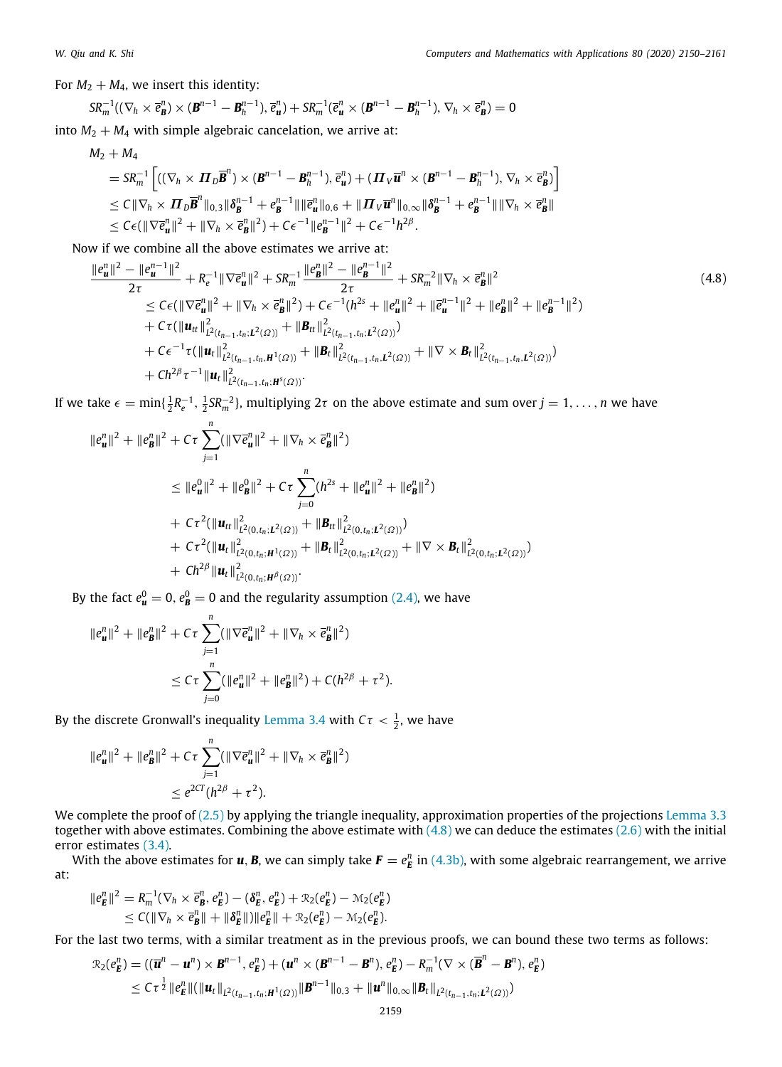For  $M_2 + M_4$ , we insert this identity:

$$
SR_m^{-1}((\nabla_h \times \overline{e}_B^n) \times (\mathbf{B}^{n-1} - \mathbf{B}_h^{n-1}), \overline{e}_u^n) + SR_m^{-1}(\overline{e}_u^n \times (\mathbf{B}^{n-1} - \mathbf{B}_h^{n-1}), \nabla_h \times \overline{e}_B^n) = 0
$$
  
M + M, with simple algebraic expectation, we arrive at:

into  $M_2 + M_4$  with simple algebraic cancelation, we arrive at:

$$
M_2 + M_4
$$
  
\n
$$
= SR_m^{-1} \Big[ ((\nabla_h \times \Pi_D \overline{B}^n) \times (B^{n-1} - B_h^{n-1}), \overline{e}_u^n) + (\Pi_V \overline{u}^n \times (B^{n-1} - B_h^{n-1}), \nabla_h \times \overline{e}_B^n) \Big]
$$
  
\n
$$
\leq C \|\nabla_h \times \Pi_D \overline{B}^n\|_{0,3} \|\delta_B^{n-1} + e_B^{n-1}\| \| \overline{e}_u^n\|_{0,6} + \|\Pi_V \overline{u}^n\|_{0,\infty} \|\delta_B^{n-1} + e_B^{n-1}\| \| \nabla_h \times \overline{e}_B^n\|
$$
  
\n
$$
\leq C\epsilon (\|\nabla \overline{e}_u^n\|^2 + \|\nabla_h \times \overline{e}_B^n\|^2) + C\epsilon^{-1} \|e_B^{n-1}\|^2 + C\epsilon^{-1} h^{2\beta}.
$$

Now if we combine all the above estimates we arrive at:

<span id="page-9-0"></span>
$$
\frac{\|e_{\mathbf{u}}^{n}\|^{2}-\|e_{\mathbf{u}}^{n-1}\|^{2}}{2\tau}+R_{\epsilon}^{-1}\|\nabla\bar{e}_{\mathbf{u}}^{n}\|^{2}+SR_{m}^{-1}\frac{\|e_{\mathbf{B}}^{n}\|^{2}-\|e_{\mathbf{B}}^{n-1}\|^{2}}{2\tau}+SR_{m}^{-2}\|\nabla_{h}\times\bar{e}_{\mathbf{B}}^{n}\|^{2}\leq C\epsilon(\|\nabla\bar{e}_{\mathbf{u}}^{n}\|^{2}+\|\nabla_{h}\times\bar{e}_{\mathbf{B}}^{n}\|^{2})+C\epsilon^{-1}(h^{2s}+\|e_{\mathbf{u}}^{n}\|^{2}+\|\bar{e}_{\mathbf{u}}^{n-1}\|^{2}+\|e_{\mathbf{B}}^{n}\|^{2}+\|e_{\mathbf{B}}^{n-1}\|^{2})+C\tau(\|\mathbf{u}_{tt}\|_{L^{2}(t_{n-1},t_{n};L^{2}(\Omega))}^{2}+\|\mathbf{B}_{tt}\|_{L^{2}(t_{n-1},t_{n};L^{2}(\Omega))}^{2})+C\epsilon^{-1}\tau(\|\mathbf{u}_{t}\|_{L^{2}(t_{n-1},t_{n},\mathbf{H}^{1}(\Omega))}^{2}+\|\mathbf{B}_{t}\|_{L^{2}(t_{n-1},t_{n},L^{2}(\Omega))}^{2})+||\mathbf{B}_{t}\|_{L^{2}(t_{n-1},t_{n},L^{2}(\Omega))}^{2}+\|\nabla\times\mathbf{B}_{t}\|_{L^{2}(t_{n-1},t_{n},L^{2}(\Omega))}^{2})
$$

If we take  $\epsilon = \min\{\frac{1}{2}R_e^{-1},\frac{1}{2}SR_m^{-2}\}$ , multiplying  $2\tau$  on the above estimate and sum over  $j = 1,\ldots,n$  we have

$$
||e_{\mathbf{u}}^{n}||^{2} + ||e_{\mathbf{B}}^{n}||^{2} + C\tau \sum_{j=1}^{n} (||\nabla \bar{e}_{\mathbf{u}}^{n}||^{2} + ||\nabla_{h} \times \bar{e}_{\mathbf{B}}^{n}||^{2})
$$
  
\n
$$
\leq ||e_{\mathbf{u}}^{0}||^{2} + ||e_{\mathbf{B}}^{0}||^{2} + C\tau \sum_{j=0}^{n} (h^{2s} + ||e_{\mathbf{u}}^{n}||^{2} + ||e_{\mathbf{B}}^{n}||^{2})
$$
  
\n
$$
+ C\tau^{2} (||\mathbf{u}_{tt}||_{L^{2}(0,t_{n};L^{2}(\Omega))}^{2} + ||\mathbf{B}_{tt}||_{L^{2}(0,t_{n};L^{2}(\Omega))}^{2})
$$
  
\n
$$
+ C\tau^{2} (||\mathbf{u}_{tt}||_{L^{2}(0,t_{n};\mathbf{H}^{1}(\Omega))}^{2} + ||\mathbf{B}_{tt}||_{L^{2}(0,t_{n};L^{2}(\Omega))}^{2} + ||\nabla \times \mathbf{B}_{t}||_{L^{2}(0,t_{n};L^{2}(\Omega))}^{2})
$$
  
\n
$$
+ Ch^{2\beta} ||\mathbf{u}_{t}||_{L^{2}(0,t_{n};\mathbf{H}^{1}(\Omega))}^{2}.
$$

By the fact  $e^0_{\mathbf{u}}=0, e^0_{\mathbf{B}}=0$  and the regularity assumption [\(2.4\)](#page-3-0), we have

$$
||e_u^n||^2 + ||e_B^n||^2 + C\tau \sum_{j=1}^n (||\nabla \overline{e}_u^n||^2 + ||\nabla_h \times \overline{e}_B^n||^2)
$$
  

$$
\leq C\tau \sum_{j=0}^n (||e_u^n||^2 + ||e_B^n||^2) + C(h^{2\beta} + \tau^2).
$$

By the discrete Gronwall's inequality [Lemma 3.4](#page-5-2) with  $C\tau < \frac{1}{2}$ , we have

$$
||e_u^n||^2 + ||e_B^n||^2 + C\tau \sum_{j=1}^n (||\nabla \overline{e}_u^n||^2 + ||\nabla_h \times \overline{e}_B^n||^2)
$$
  

$$
\leq e^{2CT}(h^{2\beta} + \tau^2).
$$

We complete the proof of [\(2.5\)](#page-3-2) by applying the triangle inequality, approximation properties of the projections [Lemma 3.3](#page-4-3) together with above estimates. Combining the above estimate with [\(4.8\)](#page-9-0) we can deduce the estimates [\(2.6\)](#page-3-3) with the initial error estimates ([3.4\)](#page-5-3).

With the above estimates for  $u$ ,  $B$ , we can simply take  $F=e_E^n$  in ([4.3b\)](#page-6-2), with some algebraic rearrangement, we arrive at:

$$
||e_E^n||^2 = R_m^{-1}(\nabla_h \times \overline{e}_B^n, e_E^n) - (\delta_E^n, e_E^n) + \mathcal{R}_2(e_E^n) - \mathcal{M}_2(e_E^n) \leq C(||\nabla_h \times \overline{e}_B^n|| + ||\delta_E^n||) ||e_E^n|| + \mathcal{R}_2(e_E^n) - \mathcal{M}_2(e_E^n).
$$

For the last two terms, with a similar treatment as in the previous proofs, we can bound these two terms as follows:

$$
\mathcal{R}_2(e_E^n) = ((\overline{\bm{u}}^n - \bm{u}^n) \times \bm{B}^{n-1}, e_E^n) + (\bm{u}^n \times (\bm{B}^{n-1} - \bm{B}^n), e_E^n) - R_m^{-1}(\nabla \times (\overline{\bm{B}}^n - \bm{B}^n), e_E^n) \n\leq C \tau^{\frac{1}{2}} \|e_E^n\| (\|\bm{u}_t\|_{L^2(t_{n-1}, t_n; \bm{H}^1(\Omega))} \|\bm{B}^{n-1}\|_{0,3} + \|\bm{u}^n\|_{0,\infty} \|\bm{B}_t\|_{L^2(t_{n-1}, t_n; L^2(\Omega))})
$$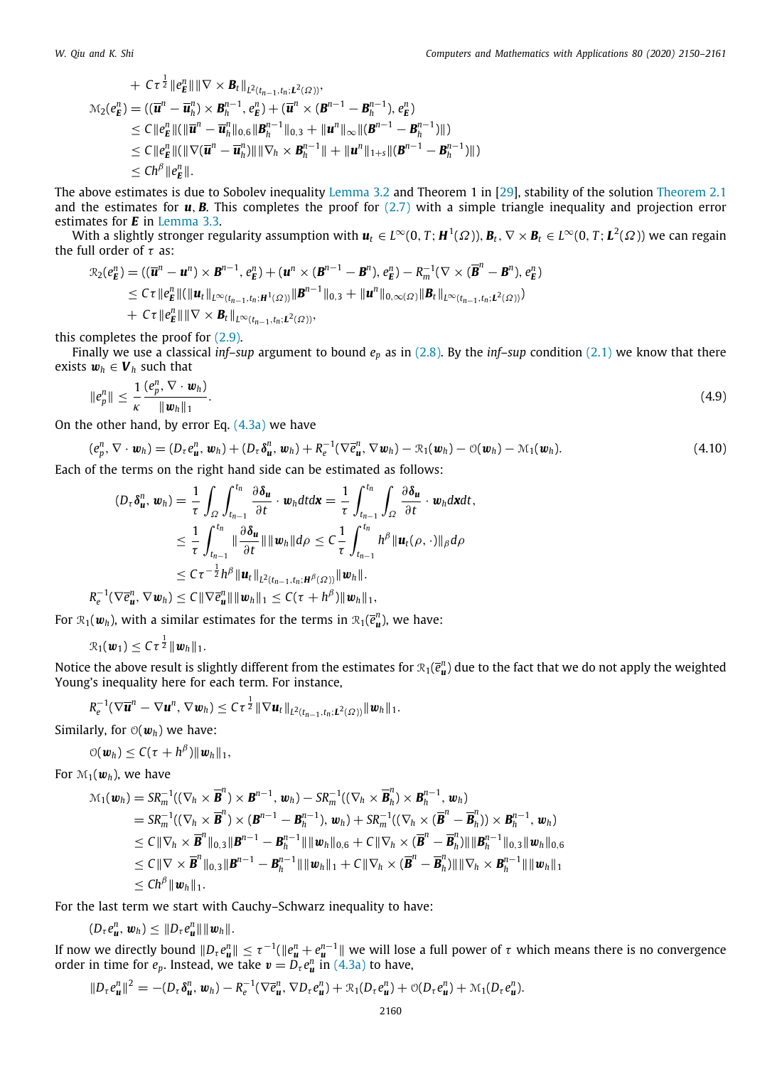+ 
$$
C\tau^{\frac{1}{2}} \|e_E^n\| \|\nabla \times \mathbf{B}_t\|_{L^2(t_{n-1},t_n;L^2(\Omega))}
$$
,  
\n $\mathcal{M}_2(e_E^n) = ((\overline{\mathbf{u}}^n - \overline{\mathbf{u}}_h^n) \times \mathbf{B}_h^{n-1}, e_E^n) + (\overline{\mathbf{u}}^n \times (\mathbf{B}^{n-1} - \mathbf{B}_h^{n-1}), e_E^n)$   
\n $\leq C \|e_E^n\| (\|\overline{\mathbf{u}}^n - \overline{\mathbf{u}}_h^n\|_{0,6} \|\mathbf{B}_h^{n-1}\|_{0,3} + \|\mathbf{u}^n\|_{\infty} \|(\mathbf{B}^{n-1} - \mathbf{B}_h^{n-1})\|)$   
\n $\leq C \|e_E^n\| (\|\nabla(\overline{\mathbf{u}}^n - \overline{\mathbf{u}}_h^n)\| \|\nabla_h \times \mathbf{B}_h^{n-1}\| + \|\mathbf{u}^n\|_{1+s} \|(\mathbf{B}^{n-1} - \mathbf{B}_h^{n-1})\|)$   
\n $\leq Ch^\beta \|e_E^n\|.$ 

The above estimates is due to Sobolev inequality [Lemma 3.2](#page-4-4) and Theorem 1 in [\[29\]](#page-11-22), stability of the solution [Theorem 2.1](#page-2-5) and the estimates for  $u$ ,  $B$ . This completes the proof for  $(2.7)$  with a simple triangle inequality and projection error estimates for *E* in [Lemma 3.3.](#page-4-3)

With a slightly stronger regularity assumption with  $u_t\in L^\infty(0,T;H^1(\varOmega)),$   $B_t,$   $\nabla\times B_t\in L^\infty(0,T;L^2(\varOmega))$  we can regain the full order of  $\tau$  as:

$$
\mathcal{R}_2(e_E^n) = ((\overline{\boldsymbol{u}}^n - \boldsymbol{u}^n) \times \boldsymbol{B}^{n-1}, e_E^n) + (\boldsymbol{u}^n \times (\boldsymbol{B}^{n-1} - \boldsymbol{B}^n), e_E^n) - R_m^{-1}(\nabla \times (\overline{\boldsymbol{B}}^n - \boldsymbol{B}^n), e_E^n) \n\leq C \tau \|e_E^n\| (\|\boldsymbol{u}_t\|_{L^{\infty}(t_{n-1}, t_n; \boldsymbol{H}^1(\Omega))} \|\boldsymbol{B}^{n-1}\|_{0,3} + \|\boldsymbol{u}^n\|_{0,\infty(\Omega)} \|\boldsymbol{B}_t\|_{L^{\infty}(t_{n-1}, t_n; \boldsymbol{L}^2(\Omega))}) \n+ C \tau \|e_E^n\| \|\nabla \times \boldsymbol{B}_t\|_{L^{\infty}(t_{n-1}, t_n; \boldsymbol{L}^2(\Omega))},
$$

this completes the proof for ([2.9](#page-4-6)).

Finally we use a classical *inf–sup* argument to bound  $e_p$  as in [\(2.8\)](#page-4-7). By the *inf–sup* condition ([2.1](#page-2-6)) we know that there exists  $w_h \in V_h$  such that

$$
\|e_p^n\| \leq \frac{1}{\kappa} \frac{(e_p^n, \nabla \cdot \boldsymbol{w}_h)}{\|\boldsymbol{w}_h\|_1}.
$$
\n(4.9)

On the other hand, by error Eq.  $(4.3a)$  we have

$$
(e_p^n, \nabla \cdot \boldsymbol{w}_h) = (D_\tau e_u^n, \boldsymbol{w}_h) + (D_\tau \delta_u^n, \boldsymbol{w}_h) + R_e^{-1} (\nabla \bar{e}_u^n, \nabla \boldsymbol{w}_h) - \mathcal{R}_1(\boldsymbol{w}_h) - \mathcal{O}(\boldsymbol{w}_h) - \mathcal{M}_1(\boldsymbol{w}_h). \tag{4.10}
$$

Each of the terms on the right hand side can be estimated as follows:

<span id="page-10-1"></span><span id="page-10-0"></span>
$$
(D_{\tau}\delta_{\boldsymbol{u}}^{n},\boldsymbol{w}_{h}) = \frac{1}{\tau} \int_{\Omega} \int_{t_{n-1}}^{t_{n}} \frac{\partial \delta_{\boldsymbol{u}}}{\partial t} \cdot \boldsymbol{w}_{h} dt d\boldsymbol{x} = \frac{1}{\tau} \int_{t_{n-1}}^{t_{n}} \int_{\Omega} \frac{\partial \delta_{\boldsymbol{u}}}{\partial t} \cdot \boldsymbol{w}_{h} d\boldsymbol{x} dt,
$$
  
\n
$$
\leq \frac{1}{\tau} \int_{t_{n-1}}^{t_{n}} \|\frac{\partial \delta_{\boldsymbol{u}}}{\partial t}\| \|\boldsymbol{w}_{h}\| d\rho \leq C \frac{1}{\tau} \int_{t_{n-1}}^{t_{n}} h^{\beta} \|\boldsymbol{u}_{t}(\rho, \cdot)\|_{\beta} d\rho
$$
  
\n
$$
\leq C \tau^{-\frac{1}{2}} h^{\beta} \|\boldsymbol{u}_{t}\|_{L^{2}(t_{n-1}, t_{n}; \boldsymbol{H}^{\beta}(\Omega))} \|\boldsymbol{w}_{h}\|.
$$
  
\n
$$
|\langle \nabla \overline{\boldsymbol{\sigma}}^{n}, \nabla \boldsymbol{w}_{h} \rangle| < C \|\nabla \overline{\boldsymbol{\sigma}}^{n}\| \|\boldsymbol{w}_{h}\|_{L} \leq C(\tau + h^{\beta}) \|\boldsymbol{w}_{h}\|.
$$

$$
R_e^{-1}(\nabla \overline{e}_{\boldsymbol{u}}^n, \nabla \boldsymbol{w}_h) \leq C \|\nabla \overline{e}_{\boldsymbol{u}}^n\| \|\boldsymbol{w}_h\|_1 \leq C(\tau + h^{\beta}) \|\boldsymbol{w}_h\|_1,
$$

For  $\mathcal{R}_1(\bm{w}_h)$ , with a similar estimates for the terms in  $\mathcal{R}_1(\bar{e}_{\bm{u}}^n)$ , we have:

$$
\mathcal{R}_1(\boldsymbol{w}_1) \leq C \tau^{\frac{1}{2}} \|\boldsymbol{w}_h\|_1.
$$

Notice the above result is slightly different from the estimates for  $\mathcal{R}_1(\bar{e}_{\bm u}^n)$  due to the fact that we do not apply the weighted Young's inequality here for each term. For instance,

$$
R_e^{-1}(\nabla \overline{\boldsymbol{u}}^n - \nabla {\boldsymbol{u}}^n, \nabla {\boldsymbol{w}}_h) \leq C\tau^{\frac{1}{2}}\|\nabla {\boldsymbol{u}}_t\|_{L^2(t_{n-1},t_n;L^2(\Omega))}\|{\boldsymbol{w}}_h\|_1.
$$

Similarly, for  $\mathcal{O}(\boldsymbol{w}_h)$  we have:

$$
\mathcal{O}(\boldsymbol{w}_h) \leq C(\tau + h^{\beta}) \|\boldsymbol{w}_h\|_1,
$$

For  $\mathcal{M}_1(\boldsymbol{w}_h)$ , we have

$$
\mathcal{M}_1(\boldsymbol{w}_h) = SR_m^{-1}((\nabla_h \times \overline{\boldsymbol{B}}^n) \times \boldsymbol{B}^{n-1}, \boldsymbol{w}_h) - SR_m^{-1}((\nabla_h \times \overline{\boldsymbol{B}}_h^n) \times \boldsymbol{B}_h^{n-1}, \boldsymbol{w}_h) \n= SR_m^{-1}((\nabla_h \times \overline{\boldsymbol{B}}^n) \times (\boldsymbol{B}^{n-1} - \boldsymbol{B}_h^{n-1}), \boldsymbol{w}_h) + SR_m^{-1}((\nabla_h \times (\overline{\boldsymbol{B}}^n - \overline{\boldsymbol{B}}_h^n)) \times \boldsymbol{B}_h^{n-1}, \boldsymbol{w}_h) \n\leq C \|\nabla_h \times \overline{\boldsymbol{B}}^n\|_{0,3} \|\boldsymbol{B}^{n-1} - \boldsymbol{B}_h^{n-1}\| \|\boldsymbol{w}_h\|_{0,6} + C \|\nabla_h \times (\overline{\boldsymbol{B}}^n - \overline{\boldsymbol{B}}_h^n) \| \|\boldsymbol{B}_h^{n-1}\|_{0,3} \|\boldsymbol{w}_h\|_{0,6} \n\leq C \|\nabla \times \overline{\boldsymbol{B}}^n\|_{0,3} \|\boldsymbol{B}^{n-1} - \boldsymbol{B}_h^{n-1}\| \|\boldsymbol{w}_h\|_1 + C \|\nabla_h \times (\overline{\boldsymbol{B}}^n - \overline{\boldsymbol{B}}_h^n) \| \|\nabla_h \times \boldsymbol{B}_h^{n-1}\| \|\boldsymbol{w}_h\|_1 \n\leq Ch^{\beta} \|\boldsymbol{w}_h\|_1.
$$

For the last term we start with Cauchy–Schwarz inequality to have:

$$
(D_{\tau}e_{\boldsymbol{u}}^n,\boldsymbol{w}_h)\leq \|D_{\tau}e_{\boldsymbol{u}}^n\|\|\boldsymbol{w}_h\|.
$$

If now we directly bound  $\|D_\tau e^n_{\bm u}\|\leq \tau^{-1}(\|e^n_{\bm u}+e^{n-1}_{\bm u}\|$  we will lose a full power of  $\tau$  which means there is no convergence order in time for  $e_p$ . Instead, we take  $\mathbf{v} = \bar{D_\tau} e^p_\mathbf{u}$  in ([4.3a\)](#page-6-0) to have,

$$
\|D_\tau e^n_{\boldsymbol{u}}\|^2 = -(D_\tau \delta^n_{\boldsymbol{u}}, \boldsymbol{w}_h) - R_e^{-1}(\nabla \bar{e}^n_{\boldsymbol{u}}, \nabla D_\tau e^n_{\boldsymbol{u}}) + \mathcal{R}_1(D_\tau e^n_{\boldsymbol{u}}) + \mathcal{O}(D_\tau e^n_{\boldsymbol{u}}) + \mathcal{M}_1(D_\tau e^n_{\boldsymbol{u}}).
$$